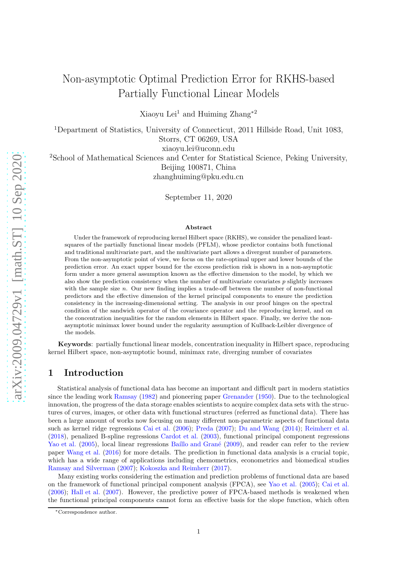# Non-asymptotic Optimal Prediction Error for RKHS-based Partially Functional Linear Models

Xiaoyu Lei<sup>1</sup> and Huiming Zhang<sup>\*2</sup>

<sup>1</sup>Department of Statistics, University of Connecticut, 2011 Hillside Road, Unit 1083, Storrs, CT 06269, USA

xiaoyu.lei@uconn.edu

<sup>2</sup>School of Mathematical Sciences and Center for Statistical Science, Peking University, Beijing 100871, China zhanghuiming@pku.edu.cn

September 11, 2020

#### Abstract

Under the framework of reproducing kernel Hilbert space (RKHS), we consider the penalized leastsquares of the partially functional linear models (PFLM), whose predictor contains both functional and traditional multivariate part, and the multivariate part allows a divergent number of parameters. From the non-asymptotic point of view, we focus on the rate-optimal upper and lower bounds of the prediction error. An exact upper bound for the excess prediction risk is shown in a non-asymptotic form under a more general assumption known as the effective dimension to the model, by which we also show the prediction consistency when the number of multivariate covariates p slightly increases with the sample size n. Our new finding implies a trade-off between the number of non-functional predictors and the effective dimension of the kernel principal components to ensure the prediction consistency in the increasing-dimensional setting. The analysis in our proof hinges on the spectral condition of the sandwich operator of the covariance operator and the reproducing kernel, and on the concentration inequalities for the random elements in Hilbert space. Finally, we derive the nonasymptotic minimax lower bound under the regularity assumption of Kullback-Leibler divergence of the models.

Keywords: partially functional linear models, concentration inequality in Hilbert space, reproducing kernel Hilbert space, non-asymptotic bound, minimax rate, diverging number of covariates

# 1 Introduction

Statistical analysis of functional data has become an important and difficult part in modern statistics since the leading work [Ramsay](#page-22-0) [\(1982\)](#page-22-0) and pioneering paper [Grenander](#page-22-1) [\(1950\)](#page-22-1). Due to the technological innovation, the progress of the data storage enables scientists to acquire complex data sets with the structures of curves, images, or other data with functional structures (referred as functional data). There has been a large amount of works now focusing on many different non-parametric aspects of functional data such as kernel ridge regressions [Cai et al.](#page-22-2) [\(2006\)](#page-22-2); [Preda](#page-22-3) [\(2007](#page-22-3)); [Du and Wang](#page-22-4) [\(2014\)](#page-22-4); [Reimherr et al.](#page-23-0) [\(2018\)](#page-23-0), penalized B-spline regressions [Cardot et al.](#page-22-5) [\(2003\)](#page-22-5), functional principal component regressions [Yao et al.](#page-23-1) [\(2005\)](#page-23-1), local linear regressions Baillo and Grané [\(2009](#page-22-6)), and reader can refer to the review paper [Wang et al.](#page-23-2) [\(2016\)](#page-23-2) for more details. The prediction in functional data analysis is a crucial topic, which has a wide range of applications including chemometrics, econometrics and biomedical studies [Ramsay and Silverman](#page-23-3) [\(2007\)](#page-23-3); [Kokoszka and Reimherr](#page-22-7) [\(2017\)](#page-22-7).

Many existing works considering the estimation and prediction problems of functional data are based on the framework of functional principal component analysis (FPCA), see [Yao et al.](#page-23-1) [\(2005\)](#page-23-1); [Cai et al.](#page-22-2) [\(2006\)](#page-22-2); [Hall et al.](#page-22-8) [\(2007](#page-22-8)). However, the predictive power of FPCA-based methods is weakened when the functional principal components cannot form an effective basis for the slope function, which often

<sup>∗</sup>Correspondence author.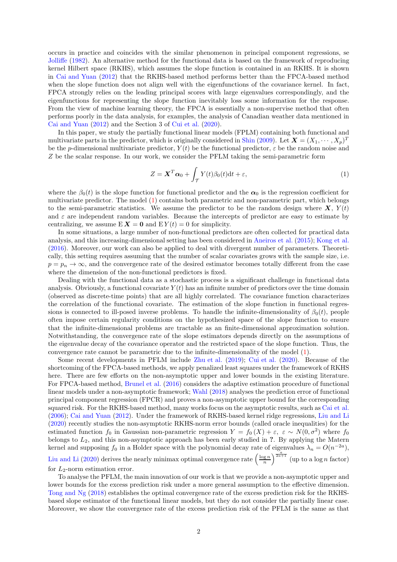occurs in practice and coincides with the similar phenomenon in principal component regressions, se [Jolliffe](#page-22-9) [\(1982\)](#page-22-9). An alternative method for the functional data is based on the framework of reproducing kernel Hilbert space (RKHS), which assumes the slope function is contained in an RKHS. It is shown in [Cai and Yuan](#page-22-10) [\(2012](#page-22-10)) that the RKHS-based method performs better than the FPCA-based method when the slope function does not align well with the eigenfunctions of the covariance kernel. In fact, FPCA strongly relies on the leading principal scores with large eigenvalues correspondingly, and the eigenfunctions for representing the slope function inevitably loss some information for the response. From the view of machine learning theory, the FPCA is essentially a non-supervise method that often performs poorly in the data analysis, for examples, the analysis of Canadian weather data mentioned in [Cai and Yuan](#page-22-10) [\(2012\)](#page-22-10) and the Section 3 of [Cui et al.](#page-22-11) [\(2020\)](#page-22-11).

In this paper, we study the partially functional linear models (FPLM) containing both functional and multivariate parts in the predictor, which is originally considered in [Shin](#page-23-4) [\(2009\)](#page-23-4). Let  $\mathbf{X} = (X_1, \dots, X_p)^T$ be the p-dimensional multivariate predictor,  $Y(t)$  be the functional predictor,  $\varepsilon$  be the random noise and Z be the scalar response. In our work, we consider the PFLM taking the semi-parametric form

<span id="page-1-0"></span>
$$
Z = \mathbf{X}^T \boldsymbol{\alpha}_0 + \int_{\mathcal{T}} Y(t) \beta_0(t) dt + \varepsilon,
$$
\n(1)

where the  $\beta_0(t)$  is the slope function for functional predictor and the  $\alpha_0$  is the regression coefficient for multivariate predictor. The model [\(1\)](#page-1-0) contains both parametric and non-parametric part, which belongs to the semi-parametric statistics. We assume the predictor to be the random design where  $X, Y(t)$ and  $\varepsilon$  are independent random variables. Because the intercepts of predictor are easy to estimate by centralizing, we assume  $E X = 0$  and  $E Y(t) = 0$  for simplicity.

In some situations, a large number of non-functional predictors are often collected for practical data analysis, and this increasing-dimensional setting has been considered in [Aneiros et al.](#page-22-12) [\(2015](#page-22-12)); [Kong et al.](#page-22-13) [\(2016\)](#page-22-13). Moreover, our work can also be applied to deal with divergent number of parameters. Theoretically, this setting requires assuming that the number of scalar covariates grows with the sample size, i.e.  $p = p_n \rightarrow \infty$ , and the convergence rate of the desired estimator becomes totally different from the case where the dimension of the non-functional predictors is fixed.

Dealing with the functional data as a stochastic process is a significant challenge in functional data analysis. Obviously, a functional covariate  $Y(t)$  has an infinite number of predictors over the time domain (observed as discrete-time points) that are all highly correlated. The covariance function characterizes the correlation of the functional covariate. The estimation of the slope function in functional regressions is connected to ill-posed inverse problems. To handle the infinite-dimensionality of  $\beta_0(t)$ , people often impose certain regularity conditions on the hypothesized space of the slope function to ensure that the infinite-dimensional problems are tractable as an finite-dimensional approximation solution. Notwithstanding, the convergence rate of the slope estimators depends directly on the assumptions of the eigenvalue decay of the covariance operator and the restricted space of the slope function. Thus, the convergence rate cannot be parametric due to the infinite-dimensionality of the model [\(1\)](#page-1-0).

Some recent developments in PFLM include [Zhu et al.](#page-23-5) [\(2019\)](#page-23-5); [Cui et al.](#page-22-11) [\(2020](#page-22-11)). Because of the shortcoming of the FPCA-based methods, we apply penalized least squares under the framework of RKHS here. There are few efforts on the non-asymptotic upper and lower bounds in the existing literature. For FPCA-based method, [Brunel et al.](#page-22-14) [\(2016\)](#page-22-14) considers the adaptive estimation procedure of functional linear models under a non-asymptotic framework; [Wahl](#page-23-6) [\(2018\)](#page-23-6) analyses the prediction error of functional principal component regression (FPCR) and proves a non-asymptotic upper bound for the corresponding squared risk. For the RKHS-based method, many works focus on the asymptotic results, such as [Cai et al.](#page-22-2) [\(2006\)](#page-22-2); [Cai and Yuan](#page-22-10) [\(2012\)](#page-22-10). Under the framework of RKHS-based kernel ridge regressions, [Liu and Li](#page-22-15) [\(2020\)](#page-22-15) recently studies the non-asymptotic RKHS-norm error bounds (called oracle inequalities) for the estimated function  $f_0$  in Gaussian non-parametric regression  $Y = f_0(X) + \varepsilon$ ,  $\varepsilon \sim N(0, \sigma^2)$  where  $f_0$ belongs to  $L_2$ , and this non-asymptotic approach has been early studied in  $?$ . By applying the Matern kernel and supposing  $f_0$  in a Holder space with the polynomial decay rate of eigenvalues  $\lambda_n = O(n^{-2a})$ , [Liu and Li](#page-22-15) [\(2020\)](#page-22-15) derives the nearly minimax optimal convergence rate  $\left(\frac{\log n}{n}\right)^{\frac{a}{2a+1}}$  (up to a log n factor)

for  $L_2$ -norm estimation error. To analyse the PFLM, the main innovation of our work is that we provide a non-asymptotic upper and lower bounds for the excess prediction risk under a more general assumption to the effective dimension. [Tong and Ng](#page-23-7) [\(2018\)](#page-23-7) establishes the optimal convergence rate of the excess prediction risk for the RKHSbased slope estimator of the functional linear models, but they do not consider the partially linear case.

Moreover, we show the convergence rate of the excess prediction risk of the PFLM is the same as that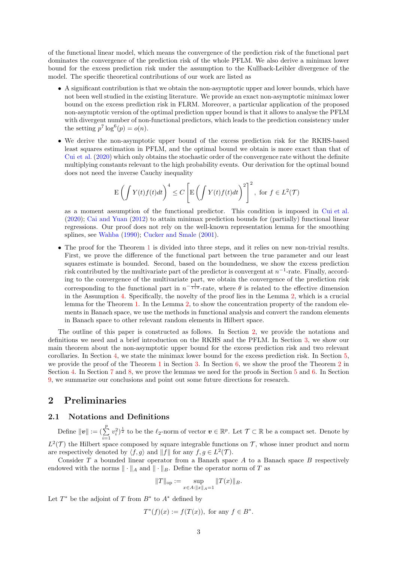of the functional linear model, which means the convergence of the prediction risk of the functional part dominates the convergence of the prediction risk of the whole PFLM. We also derive a minimax lower bound for the excess prediction risk under the assumption to the Kullback-Leibler divergence of the model. The specific theoretical contributions of our work are listed as

- A significant contribution is that we obtain the non-asymptotic upper and lower bounds, which have not been well studied in the existing literature. We provide an exact non-asymptotic minimax lower bound on the excess prediction risk in FLRM. Moreover, a particular application of the proposed non-asymptotic version of the optimal prediction upper bound is that it allows to analyse the PFLM with divergent number of non-functional predictors, which leads to the prediction consistency under the setting  $p^7 \log^6(p) = o(n)$ .
- We derive the non-asymptotic upper bound of the excess prediction risk for the RKHS-based least squares estimation in PFLM, and the optimal bound we obtain is more exact than that of [Cui et al.](#page-22-11) [\(2020](#page-22-11)) which only obtains the stochastic order of the convergence rate without the definite multiplying constants relevant to the high probability events. Our derivation for the optimal bound does not need the inverse Cauchy inequality

$$
\mathbf{E}\left(\int Y(t)f(t)dt\right)^{4} \leq C\left[\mathbf{E}\left(\int Y(t)f(t)dt\right)^{2}\right]^{2}, \text{ for } f \in L^{2}(\mathcal{T})
$$

as a moment assumption of the functional predictor. This condition is imposed in [Cui et al.](#page-22-11) [\(2020\)](#page-22-11); [Cai and Yuan](#page-22-10) [\(2012\)](#page-22-10) to attain minimax prediction bounds for (partially) functional linear regressions. Our proof does not rely on the well-known representation lemma for the smoothing splines, see [Wahba](#page-23-8) [\(1990](#page-23-8)); [Cucker and Smale](#page-22-16) [\(2001](#page-22-16)).

• The proof for the Theorem [1](#page-6-0) is divided into three steps, and it relies on new non-trivial results. First, we prove the difference of the functional part between the true parameter and our least squares estimate is bounded. Second, based on the boundedness, we show the excess prediction risk contributed by the multivariate part of the predictor is convergent at  $n^{-1}$ -rate. Finally, according to the convergence of the multivariate part, we obtain the convergence of the prediction risk corresponding to the functional part in  $n^{-\frac{1}{1+\theta}}$ -rate, where  $\theta$  is related to the effective dimension in the Assumption [4.](#page-5-0) Specifically, the novelty of the proof lies in the Lemma [2,](#page-6-1) which is a crucial lemma for the Theorem [1.](#page-6-0) In the Lemma [2,](#page-6-1) to show the concentration property of the random elements in Banach space, we use the methods in functional analysis and convert the random elements in Banach space to other relevant random elements in Hilbert space.

The outline of this paper is constructed as follows. In Section [2,](#page-2-0) we provide the notations and definitions we need and a brief introduction on the RKHS and the PFLM. In Section [3,](#page-5-1) we show our main theorem about the non-asymptotic upper bound for the excess prediction risk and two relevant corollaries. In Section [4,](#page-8-0) we state the minimax lower bound for the excess prediction risk. In Section [5,](#page-9-0) we provide the proof of the Theorem [1](#page-6-0) in Section [3.](#page-5-1) In Section [6,](#page-12-0) we show the proof the Theorem [2](#page-9-1) in Section [4.](#page-8-0) In Section [7](#page-13-0) and [8,](#page-17-0) we prove the lemmas we need for the proofs in Section [5](#page-9-0) and [6.](#page-12-0) In Section [9,](#page-21-0) we summarize our conclusions and point out some future directions for research.

# <span id="page-2-0"></span>2 Preliminaries

## 2.1 Notations and Definitions

Define  $\|\boldsymbol{v}\| := (\sum_{i=1}^p$  $(v_i^2)^{\frac{1}{2}}$  to be the  $\ell_2$ -norm of vector  $v \in \mathbb{R}^p$ . Let  $\mathcal{T} \subset \mathbb{R}$  be a compact set. Denote by  $L^2(\mathcal{T})$  the Hilbert space composed by square integrable functions on  $\mathcal{T}$ , whose inner product and norm are respectively denoted by  $\langle f, g \rangle$  and  $||f||$  for any  $f, g \in L^2(\mathcal{T})$ .

Consider  $T$  a bounded linear operator from a Banach space  $A$  to a Banach space  $B$  respectively endowed with the norms  $\|\cdot\|_A$  and  $\|\cdot\|_B$ . Define the operator norm of T as

$$
||T||_{\text{op}} := \sup_{x \in A: ||x||_A = 1} ||T(x)||_B.
$$

Let  $T^*$  be the adjoint of T from  $B^*$  to  $A^*$  defined by

$$
T^*(f)(x) := f(T(x))
$$
, for any  $f \in B^*$ .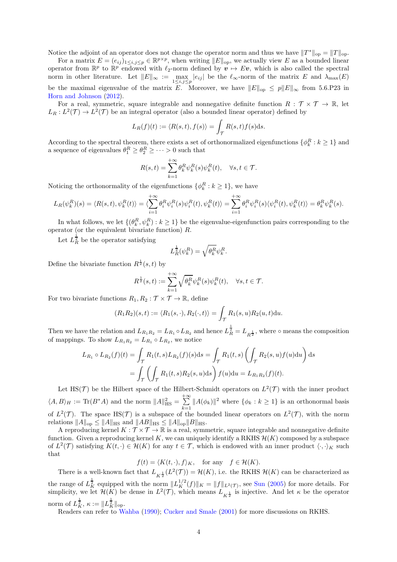Notice the adjoint of an operator does not change the operator norm and thus we have  $||T^*||_{op} = ||T||_{op}$ .

For a matrix  $E = (e_{ij})_{1 \le i,j \le p} \in \mathbb{R}^{p \times p}$ , when writing  $||E||_{op}$ , we actually view E as a bounded linear operator from  $\mathbb{R}^p$  to  $\mathbb{R}^p$  endowed with  $\ell_2$ -norm defined by  $v \mapsto Ev$ , which is also called the spectral norm in other literature. Let  $||E||_{\infty} := \max_{1 \leq i,j \leq p} |e_{ij}|$  be the  $\ell_{\infty}$ -norm of the matrix E and  $\lambda_{\max}(E)$ be the maximal eigenvalue of the matrix E. Moreover, we have  $||E||_{op} \leq p||E||_{\infty}$  from 5.6.P23 in [Horn and Johnson](#page-22-17) [\(2012\)](#page-22-17).

For a real, symmetric, square integrable and nonnegative definite function  $R : \mathcal{T} \times \mathcal{T} \to \mathbb{R}$ , let  $L_R: L^2(\mathcal{T}) \to L^2(\mathcal{T})$  be an integral operator (also a bounded linear operator) defined by

$$
L_R(f)(t) := \langle R(s,t), f(s) \rangle = \int_{\mathcal{T}} R(s,t)f(s)ds.
$$

According to the spectral theorem, there exists a set of orthonormalized eigenfunctions  $\{\phi_k^R : k \ge 1\}$  and a sequence of eigenvalues  $\theta_1^R \ge \theta_2^R \ge \cdots > 0$  such that

$$
R(s,t) = \sum_{k=1}^{+\infty} \theta_k^R \psi_k^R(s) \psi_k^R(t), \quad \forall s, t \in \mathcal{T}.
$$

Noticing the orthonormality of the eigenfunctions  $\{\phi_k^R : k \geq 1\}$ , we have

$$
L_R(\psi_k^R)(s) = \langle R(s,t), \psi_k^R(t) \rangle = \langle \sum_{i=1}^{+\infty} \theta_i^R \psi_i^R(s) \psi_i^R(t), \psi_k^R(t) \rangle = \sum_{i=1}^{+\infty} \theta_i^R \psi_i^R(s) \langle \psi_i^R(t), \psi_k^R(t) \rangle = \theta_k^R \psi_k^R(s).
$$

In what follows, we let  $\{(\theta_k^R, \psi_k^R) : k \ge 1\}$  be the eigenvalue-eigenfunction pairs corresponding to the operator (or the equivalent bivariate function)  $R$ .

Let  $L_R^{\frac{1}{2}}$  be the operator satisfying

$$
L_R^{\frac{1}{2}}(\psi_k^R) = \sqrt{\theta_k^R} \psi_k^R.
$$

Define the bivariate function  $R^{\frac{1}{2}}(s,t)$  by

$$
R^{\frac{1}{2}}(s,t) := \sum_{k=1}^{+\infty} \sqrt{\theta_k^R} \psi_k^R(s) \psi_k^R(t), \quad \forall s, t \in \mathcal{T}.
$$

For two bivariate functions  $R_1, R_2 : \mathcal{T} \times \mathcal{T} \to \mathbb{R}$ , define

$$
(R_1R_2)(s,t) := \langle R_1(s,\cdot), R_2(\cdot,t) \rangle = \int_{\mathcal{T}} R_1(s,u) R_2(u,t) \mathrm{d}u.
$$

Then we have the relation and  $L_{R_1R_2} = L_{R_1} \circ L_{R_2}$  and hence  $L_R^{\frac{1}{2}} = L_{R_2^{\frac{1}{2}}}$ , where  $\circ$  means the composition of mappings. To show  $L_{R_1R_2} = L_{R_1} \circ L_{R_2}$ , we notice

$$
L_{R_1} \circ L_{R_2}(f)(t) = \int_{\mathcal{T}} R_1(t, s) L_{R_2}(f)(s) ds = \int_{\mathcal{T}} R_1(t, s) \left( \int_{\mathcal{T}} R_2(s, u) f(u) du \right) ds
$$
  
= 
$$
\int_{\mathcal{T}} \left( \int_{\mathcal{T}} R_1(t, s) R_2(s, u) ds \right) f(u) du = L_{R_1 R_2}(f)(t).
$$

Let HS(T) be the Hilbert space of the Hilbert-Schmidt operators on  $L^2(\mathcal{T})$  with the inner product  $\langle A, B \rangle_H := \text{Tr}(B^*A)$  and the norm  $||A||_{\text{HS}}^2 = \sum_{n=1}^{+\infty}$  $\sum_{k=1}^{\infty} ||A(\phi_k)||^2$  where  $\{\phi_k : k \geq 1\}$  is an orthonormal basis of  $L^2(\mathcal{T})$ . The space HS( $\mathcal{T}$ ) is a subspace of the bounded linear operators on  $L^2(\mathcal{T})$ , with the norm relations  $||A||_{op} \leq ||A||_{HS}$  and  $||AB||_{HS} \leq ||A||_{op}||B||_{HS}$ .

A reproducing kernel  $K : \mathcal{T} \times \mathcal{T} \to \mathbb{R}$  is a real, symmetric, square integrable and nonnegative definite function. Given a reproducing kernel K, we can uniquely identify a RKHS  $\mathcal{H}(K)$  composed by a subspace of  $L^2(\mathcal{T})$  satisfying  $K(t, \cdot) \in \mathcal{H}(K)$  for any  $t \in \mathcal{T}$ , which is endowed with an inner product  $\langle \cdot, \cdot \rangle_K$  such that

 $f(t) = \langle K(t, \cdot), f \rangle_K$ , for any  $f \in \mathcal{H}(K)$ .

There is a well-known fact that  $L_{K^{\frac{1}{2}}}(L^2(\mathcal{T})) = \mathcal{H}(K)$ , i.e. the RKHS  $\mathcal{H}(K)$  can be characterized as the range of  $L_K^{\frac{1}{2}}$  equipped with the norm  $||L_K^{1/2}(f)||_K = ||f||_{L^2(\mathcal{T})}$ , see [Sun](#page-23-9) [\(2005\)](#page-23-9) for more details. For simplicity, we let  $\mathcal{H}(K)$  be dense in  $L^2(\mathcal{T})$ , which means  $L_{K^{\frac{1}{2}}}$  is injective. And let  $\kappa$  be the operator norm of  $L_K^{\frac{1}{2}}$ ,  $\kappa := ||L_K^{\frac{1}{2}}||_{op}$ .

Readers can refer to [Wahba](#page-23-8) [\(1990\)](#page-23-8); [Cucker and Smale](#page-22-16) [\(2001\)](#page-22-16) for more discussions on RKHS.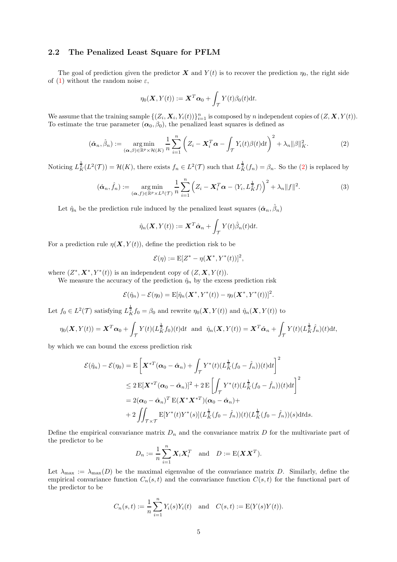## 2.2 The Penalized Least Square for PFLM

The goal of prediction given the predictor X and  $Y(t)$  is to recover the prediction  $\eta_0$ , the right side of [\(1\)](#page-1-0) without the random noise  $\varepsilon$ ,

$$
\eta_0(\mathbf{X}, Y(t)) := \mathbf{X}^T \boldsymbol{\alpha}_0 + \int_{\mathcal{T}} Y(t) \beta_0(t) dt.
$$

We assume that the training sample  $\{(Z_i, \boldsymbol{X}_i, Y_i(t))\}_{i=1}^n$  is composed by n independent copies of  $(Z, \boldsymbol{X}, Y(t))$ . To estimate the true parameter  $(\alpha_0, \beta_0)$ , the penalized least squares is defined as

<span id="page-4-0"></span>
$$
(\hat{\boldsymbol{\alpha}}_n, \hat{\beta}_n) := \underset{(\boldsymbol{\alpha}, \boldsymbol{\beta}) \in \mathbb{R}^p \times \mathcal{H}(K)}{\operatorname{arg\,min}} \frac{1}{n} \sum_{i=1}^n \left( Z_i - \boldsymbol{X}_i^T \boldsymbol{\alpha} - \int_{\mathcal{T}} Y_i(t) \beta(t) \mathrm{d}t \right)^2 + \lambda_n \|\boldsymbol{\beta}\|_K^2. \tag{2}
$$

Noticing  $L^{\frac{1}{2}}_K(L^2(\mathcal{T})) = \mathcal{H}(K)$ , there exists  $f_n \in L^2(\mathcal{T})$  such that  $L^{\frac{1}{2}}_K(f_n) = \beta_n$ . So the [\(2\)](#page-4-0) is replaced by

<span id="page-4-1"></span>
$$
(\hat{\boldsymbol{\alpha}}_n, \hat{f}_n) := \underset{(\boldsymbol{\alpha}, f) \in \mathbb{R}^p \times L^2(\mathcal{T})}{\arg \min} \frac{1}{n} \sum_{i=1}^n \left( Z_i - \boldsymbol{X}_i^T \boldsymbol{\alpha} - \langle Y_i, L_K^{\frac{1}{2}} f \rangle \right)^2 + \lambda_n \|f\|^2.
$$
 (3)

Let  $\hat{\eta}_n$  be the prediction rule induced by the penalized least squares  $(\hat{\alpha}_n, \hat{\beta}_n)$ 

$$
\hat{\eta}_n(\boldsymbol{X}, Y(t)) := \boldsymbol{X}^T \hat{\boldsymbol{\alpha}}_n + \int_{\mathcal{T}} Y(t) \hat{\beta}_n(t) dt.
$$

For a prediction rule  $\eta(X, Y(t))$ , define the prediction risk to be

$$
\mathcal{E}(\eta) := \mathbf{E}[Z^* - \eta(\mathbf{X}^*, Y^*(t))]^2,
$$

where  $(Z^*, \mathbf{X}^*, Y^*(t))$  is an independent copy of  $(Z, \mathbf{X}, Y(t))$ .

We measure the accuracy of the prediction  $\hat{\eta}_n$  by the excess prediction risk

$$
\mathcal{E}(\hat{\eta}_n) - \mathcal{E}(\eta_0) = \mathbb{E}[\hat{\eta}_n(\mathbf{X}^*, Y^*(t)) - \eta_0(\mathbf{X}^*, Y^*(t))]^2.
$$

Let  $f_0 \in L^2(\mathcal{T})$  satisfying  $L^{\frac{1}{2}}_K f_0 = \beta_0$  and rewrite  $\eta_0(\mathbf{X}, Y(t))$  and  $\hat{\eta}_n(\mathbf{X}, Y(t))$  to

$$
\eta_0(\mathbf{X}, Y(t)) = \mathbf{X}^T \boldsymbol{\alpha}_0 + \int_{\mathcal{T}} Y(t) (L_K^{\frac{1}{2}} f_0)(t) dt \text{ and } \hat{\eta}_n(\mathbf{X}, Y(t)) = \mathbf{X}^T \hat{\boldsymbol{\alpha}}_n + \int_{\mathcal{T}} Y(t) (L_K^{\frac{1}{2}} \hat{f}_n)(t) dt,
$$

by which we can bound the excess prediction risk

$$
\mathcal{E}(\hat{\eta}_n) - \mathcal{E}(\eta_0) = \mathbf{E} \left[ \boldsymbol{X}^{*T} (\boldsymbol{\alpha}_0 - \hat{\boldsymbol{\alpha}}_n) + \int_{\mathcal{T}} Y^*(t) (L_K^{\frac{1}{2}} (f_0 - \hat{f}_n))(t) dt \right]^2
$$
  
\n
$$
\leq 2 \mathbf{E} [\boldsymbol{X}^{*T} (\boldsymbol{\alpha}_0 - \hat{\boldsymbol{\alpha}}_n)]^2 + 2 \mathbf{E} \left[ \int_{\mathcal{T}} Y^*(t) (L_K^{\frac{1}{2}} (f_0 - \hat{f}_n))(t) dt \right]^2
$$
  
\n
$$
= 2(\boldsymbol{\alpha}_0 - \hat{\boldsymbol{\alpha}}_n)^T \mathbf{E} (\boldsymbol{X}^* \boldsymbol{X}^{*T}) (\boldsymbol{\alpha}_0 - \hat{\boldsymbol{\alpha}}_n) +
$$
  
\n
$$
+ 2 \iint_{\mathcal{T} \times \mathcal{T}} \mathbf{E} [Y^*(t) Y^*(s)] (L_K^{\frac{1}{2}} (f_0 - \hat{f}_n))(t) (L_K^{\frac{1}{2}} (f_0 - \hat{f}_n))(s) dt ds.
$$

Define the empirical convariance matrix  $D_n$  and the convariance matrix D for the multivariate part of the predictor to be

$$
D_n := \frac{1}{n} \sum_{i=1}^n \mathbf{X}_i \mathbf{X}_i^T \quad \text{and} \quad D := \mathrm{E}(\mathbf{X} \mathbf{X}^T).
$$

Let  $\lambda_{\text{max}} := \lambda_{\text{max}}(D)$  be the maximal eigenvalue of the convariance matrix D. Similarly, define the empirical convariance function  $C_n(s,t)$  and the convariance function  $C(s,t)$  for the functional part of the predictor to be

$$
C_n(s,t) := \frac{1}{n} \sum_{i=1}^n Y_i(s)Y_i(t)
$$
 and  $C(s,t) := E(Y(s)Y(t)).$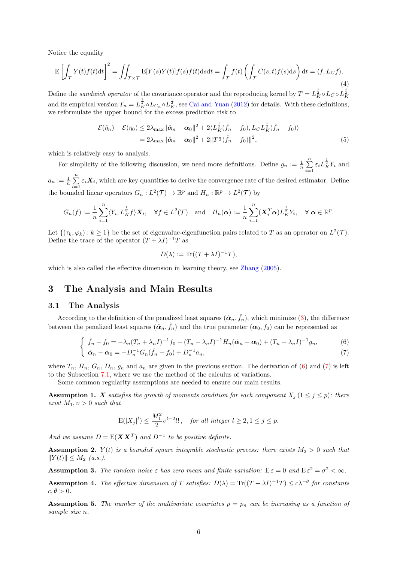Notice the equality

<span id="page-5-7"></span>
$$
\mathcal{E}\left[\int_{\mathcal{T}} Y(t)f(t)dt\right]^2 = \iint_{\mathcal{T}\times\mathcal{T}} \mathcal{E}[Y(s)Y(t)]f(s)f(t)dsdt = \int_{\mathcal{T}} f(t)\left(\int_{\mathcal{T}} C(s,t)f(s)ds\right)dt = \langle f, L_C f \rangle.
$$
\n(4)

Define the sandwich operator of the covariance operator and the reproducing kernel by  $T = L_K^{\frac{1}{2}} \circ L_C \circ L_K^{\frac{1}{2}}$ and its empirical version  $T_n = L_K^{\frac{1}{2}} \circ L_{C_n} \circ L_K^{\frac{1}{2}}$ , see [Cai and Yuan](#page-22-10) [\(2012\)](#page-22-10) for details. With these definitions, we reformulate the upper bound for the excess prediction risk to

$$
\mathcal{E}(\hat{\eta}_n) - \mathcal{E}(\eta_0) \le 2\lambda_{\max} ||\hat{\alpha}_n - \alpha_0||^2 + 2\langle L_K^{\frac{1}{2}}(\hat{f}_n - f_0), L_C L_K^{\frac{1}{2}}(\hat{f}_n - f_0) \rangle
$$
  
=  $2\lambda_{\max} ||\hat{\alpha}_n - \alpha_0||^2 + 2||T^{\frac{1}{2}}(\hat{f}_n - f_0)||^2,$  (5)

which is relatively easy to analysis.

For simplicity of the following discussion, we need more definitions. Define  $g_n := \frac{1}{n} \sum_{i=1}^n$  $\sum_{i=1}^{n} \varepsilon_i L_K^{\frac{1}{2}} Y_i$  and  $a_n := \frac{1}{n} \sum_{i=1}^n$  $\sum_{i=1}^{n} \varepsilon_i \mathbf{X}_i$ , which are key quantities to derive the convergence rate of the desired estimator. Define the bounded linear operators  $G_n: L^2(\mathcal{T}) \to \mathbb{R}^p$  and  $H_n: \mathbb{R}^p \to L^2(\mathcal{T})$  by

$$
G_n(f) := \frac{1}{n} \sum_{i=1}^n \langle Y_i, L_K^{\frac{1}{2}} f \rangle \mathbf{X}_i, \quad \forall f \in L^2(\mathcal{T}) \quad \text{and} \quad H_n(\boldsymbol{\alpha}) := \frac{1}{n} \sum_{i=1}^n (\mathbf{X}_i^T \boldsymbol{\alpha}) L_K^{\frac{1}{2}} Y_i, \quad \forall \ \boldsymbol{\alpha} \in \mathbb{R}^p.
$$

Let  $\{(\tau_k, \varphi_k) : k \ge 1\}$  be the set of eigenvalue-eigenfunction pairs related to T as an operator on  $L^2(\mathcal{T})$ . Define the trace of the operator  $(T + \lambda I)^{-1}T$  as

$$
D(\lambda) := \text{Tr}((T + \lambda I)^{-1}T),
$$

which is also called the effective dimension in learning theory, see [Zhang](#page-23-10) [\(2005\)](#page-23-10).

# <span id="page-5-1"></span>3 The Analysis and Main Results

#### <span id="page-5-2"></span>3.1 The Analysis

According to the definition of the penalized least squares  $(\hat{\alpha}_n, \hat{f}_n)$ , which minimize [\(3\)](#page-4-1), the difference between the penalized least squares  $(\hat{\alpha}_n, \hat{f}_n)$  and the true parameter  $(\alpha_0, f_0)$  can be represented as

$$
\begin{cases}\n\hat{f}_n - f_0 = -\lambda_n (T_n + \lambda_n I)^{-1} f_0 - (T_n + \lambda_n I)^{-1} H_n(\hat{\alpha}_n - \alpha_0) + (T_n + \lambda_n I)^{-1} g_n, \\
\hat{\alpha}_n - \alpha_0 = -D_n^{-1} G_n(\hat{f}_n - f_0) + D_n^{-1} a_n,\n\end{cases}
$$
\n(6)

where 
$$
T_n
$$
,  $H_n$ ,  $G_n$ ,  $D_n$ ,  $g_n$  and  $a_n$  are given in the previous section. The derivation of (6) and (7) is left to the Subsection 7.1, where we use the method of the calculus of variations.

Some common regularity assumptions are needed to ensure our main results.

<span id="page-5-3"></span>**Assumption 1.** X satisfies the growth of moments condition for each component  $X_j$  ( $1 \leq j \leq p$ ): there exist  $M_1, v > 0$  such that

$$
\mathbf{E}(|X_j|^l) \leq \frac{M_1^2}{2} \upsilon^{l-2} l! \,, \quad \textit{for all integer} \ l \geq 2, 1 \leq j \leq p.
$$

And we assume  $D = E(\boldsymbol{X}\boldsymbol{X}^T)$  and  $D^{-1}$  to be positive definite.

<span id="page-5-4"></span>**Assumption 2.**  $Y(t)$  is a bounded square integrable stochastic process: there exists  $M_2 > 0$  such that  $||Y(t)|| \leq M_2$  (a.s.).

<span id="page-5-5"></span>**Assumption 3.** The random noise  $\varepsilon$  has zero mean and finite variation:  $E \varepsilon = 0$  and  $E \varepsilon^2 = \sigma^2 < \infty$ .

<span id="page-5-0"></span>**Assumption 4.** The effective dimension of T satisfies:  $D(\lambda) = \text{Tr}((T + \lambda I)^{-1}T) \leq c\lambda^{-\theta}$  for constants  $c, \theta > 0.$ 

<span id="page-5-6"></span>**Assumption 5.** The number of the multivariate covariates  $p = p_n$  can be increasing as a function of sample size n.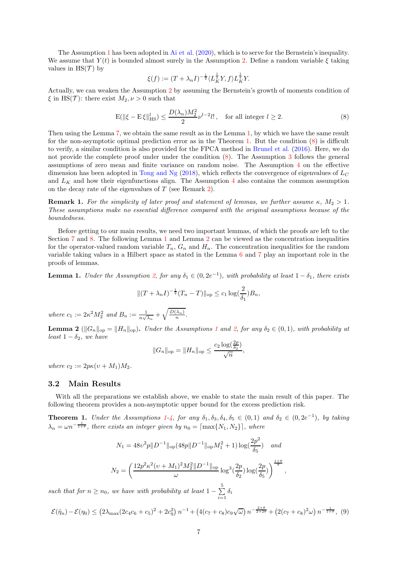The Assumption [1](#page-5-3) has been adopted in [Ai et al.](#page-22-18) [\(2020\)](#page-22-18), which is to serve for the Bernstein's inequality. We assume that  $Y(t)$  is bounded almost surely in the Assumption [2.](#page-5-4) Define a random variable  $\xi$  taking values in  $\text{HS}(\mathcal{T})$  by

$$
\xi(f) := (T + \lambda_n I)^{-\frac{1}{2}} \langle L_K^{\frac{1}{2}} Y, f \rangle L_K^{\frac{1}{2}} Y.
$$

Actually, we can weaken the Assumption [2](#page-5-4) by assuming the Bernstein's growth of moments condition of  $\xi$  in HS(T): there exist  $M_2, \nu > 0$  such that

<span id="page-6-3"></span>
$$
\mathcal{E}(\|\xi - \mathcal{E}\xi\|_{\text{HS}}^l) \le \frac{D(\lambda_n)M_2^2}{2}\nu^{l-2}l!, \quad \text{for all integer } l \ge 2.
$$
 (8)

Then using the Lemma [7,](#page-18-0) we obtain the same result as in the Lemma [1,](#page-6-2) by which we have the same result for the non-asymptotic optimal prediction error as in the Theorem [1.](#page-6-0) But the condition [\(8\)](#page-6-3) is difficult to verify, a similar condition is also provided for the FPCA method in [Brunel et al.](#page-22-14) [\(2016](#page-22-14)). Here, we do not provide the complete proof under under the condition [\(8\)](#page-6-3). The Assumption [3](#page-5-5) follows the general assumptions of zero mean and finite variance on random noise. The Assumption [4](#page-5-0) on the effective dimension has been adopted in [Tong and Ng](#page-23-7) [\(2018\)](#page-23-7), which reflects the convergence of eigenvalues of  $L_C$ and  $L_K$  and how their eigenfunctions align. The Assumption [4](#page-5-0) also contains the common assumption on the decay rate of the eigenvalues of T (see Remark [2\)](#page-7-0).

**Remark 1.** For the simplicity of later proof and statement of lemmas, we further assume  $\kappa$ ,  $M_2 > 1$ . These assumptions make no essential difference compared with the original assumptions because of the boundedness.

Before getting to our main results, we need two important lemmas, of which the proofs are left to the Section [7](#page-13-0) and [8.](#page-17-0) The following Lemma [1](#page-6-2) and Lemma [2](#page-6-1) can be viewed as the concentration inequalities for the operator-valued random variable  $T_n$ ,  $G_n$  and  $H_n$ . The concentration inequalities for the random variable taking values in a Hilbert space as stated in the Lemma [6](#page-18-1) and [7](#page-18-0) play an important role in the proofs of lemmas.

<span id="page-6-2"></span>**Lemma 1.** Under the Assumption [2,](#page-5-4) for any  $\delta_1 \in (0, 2e^{-1})$ , with probability at least  $1 - \delta_1$ , there exists

$$
||(T + \lambda_n I)^{-\frac{1}{2}}(T_n - T)||_{\text{op}} \le c_1 \log(\frac{2}{\delta_1})B_n,
$$

where  $c_1 := 2\kappa^2 M_2^2$  and  $B_n := \frac{1}{n\sqrt{\lambda_n}} + \sqrt{\frac{D(\lambda_n)}{n}}$ .

<span id="page-6-1"></span>**Lemma 2** ( $||G_n||_{op} = ||H_n||_{op}$ ). Under the Assumptions [1](#page-5-3) and [2,](#page-5-4) for any  $\delta_2 \in (0,1)$ , with probability at least  $1 - \delta_2$ , we have

$$
||G_n||_{\text{op}} = ||H_n||_{\text{op}} \le \frac{c_2 \log(\frac{2p}{\delta_2})}{\sqrt{n}},
$$

where  $c_2 := 2p\kappa(v + M_1)M_2$ .

#### 3.2 Main Results

With all the preparations we establish above, we enable to state the main result of this paper. The following theorem provides a non-asymptotic upper bound for the excess prediction risk.

<span id="page-6-0"></span>**Theorem [1](#page-5-3).** Under the Assumptions 1[-4,](#page-5-0) for any  $\delta_1, \delta_3, \delta_4, \delta_5 \in (0,1)$  and  $\delta_2 \in (0, 2e^{-1})$ , by taking  $\lambda_n = \omega n^{-\frac{1}{1+\theta}}$ , there exists an integer given by  $n_0 = \lceil \max\{N_1, N_2\} \rceil$ , where

$$
N_1 = 48v^2p\|D^{-1}\|_{\text{op}}(48p\|D^{-1}\|_{\text{op}}M_1^2 + 1)\log(\frac{2p^2}{\delta_5}) \quad \text{and}
$$

$$
N_2 = \left(\frac{12p^2\kappa^2(\nu + M_1)^2M_2^2\|D^{-1}\|_{\text{op}}}{\omega}\log^3(\frac{2p}{\delta_2})\log(\frac{2p}{\delta_5})\right)^{\frac{1+\theta}{\theta}},
$$

such that for  $n \geq n_0$ , we have with probability at least  $1 - \sum_{i=1}^{5}$  $\sum_{i=1} \delta_i$ 

<span id="page-6-4"></span>
$$
\mathcal{E}(\hat{\eta}_n) - \mathcal{E}(\eta_0) \le \left(2\lambda_{\max}(2c_4c_6 + c_5)^2 + 2c_9^2\right)n^{-1} + \left(4(c_7 + c_8)c_9\sqrt{\omega}\right)n^{-\frac{2+\theta}{2+2\theta}} + \left(2(c_7 + c_8)^2\omega\right)n^{-\frac{1}{1+\theta}},\tag{9}
$$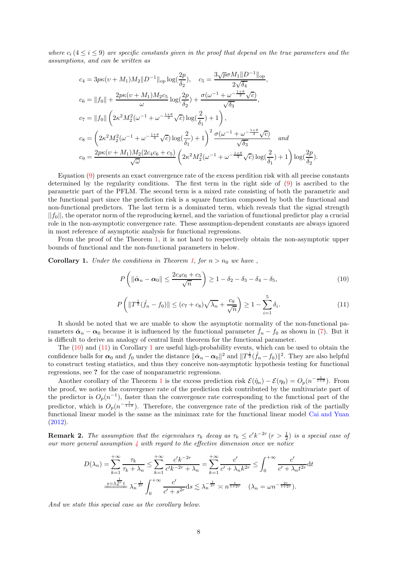where  $c_i$  (4  $\leq i \leq 9$ ) are specific constants given in the proof that depend on the true parameters and the assumptions, and can be written as

$$
c_4 = 3p\kappa(v + M_1)M_2||D^{-1}||_{op}\log(\frac{2p}{\delta_2}), \quad c_5 = \frac{3\sqrt{p}\sigma M_1||D^{-1}||_{op}}{2\sqrt{\delta_4}},
$$
  
\n
$$
c_6 = ||f_0|| + \frac{2p\kappa(v + M_1)M_2c_5}{\omega}\log(\frac{2p}{\delta_2}) + \frac{\sigma(\omega^{-1} + \omega^{-\frac{1+\theta}{2}}\sqrt{c})}{\sqrt{\delta_3}},
$$
  
\n
$$
c_7 = ||f_0|| \left(2\kappa^2 M_2^2(\omega^{-1} + \omega^{-\frac{1+\theta}{2}}\sqrt{c})\log(\frac{2}{\delta_1}) + 1\right),
$$
  
\n
$$
c_8 = \left(2\kappa^2 M_2^2(\omega^{-1} + \omega^{-\frac{1+\theta}{2}}\sqrt{c})\log(\frac{2}{\delta_1}) + 1\right)^2 \frac{\sigma(\omega^{-1} + \omega^{-\frac{1+\theta}{2}}\sqrt{c})}{\sqrt{\delta_3}} \quad and
$$
  
\n
$$
c_9 = \frac{2p\kappa(v + M_1)M_2(2c_4c_6 + c_5)}{\sqrt{\omega}} \left(2\kappa^2 M_2^2(\omega^{-1} + \omega^{-\frac{1+\theta}{2}}\sqrt{c})\log(\frac{2}{\delta_1}) + 1\right) \log(\frac{2p}{\delta_2}).
$$

Equation [\(9\)](#page-6-4) presents an exact convergence rate of the excess perdition risk with all precise constants determined by the regularity conditions. The first term in the right side of [\(9\)](#page-6-4) is ascribed to the parametric part of the PFLM. The second term is a mixed rate consisting of both the parametric and the functional part since the prediction risk is a square function composed by both the functional and non-functional predictors. The last term is a dominated term, which reveals that the signal strength  $||f_0||$ , the operator norm of the reproducing kernel, and the variation of functional predictor play a crucial role in the non-asymptotic convergence rate. These assumption-dependent constants are always ignored in most reference of asymptotic analysis for functional regressions.

From the proof of the Theorem [1,](#page-6-0) it is not hard to respectively obtain the non-asymptotic upper bounds of functional and the non-functional parameters in below.

<span id="page-7-3"></span>**Corollary 1.** Under the conditions in Theorem [1,](#page-6-0) for  $n > n_0$  we have,

<span id="page-7-1"></span>
$$
P\left(\left\|\hat{\boldsymbol{\alpha}}_n-\boldsymbol{\alpha}_0\right\| \le \frac{2c_4c_6+c_5}{\sqrt{n}}\right) \ge 1-\delta_2-\delta_3-\delta_4-\delta_5,\tag{10}
$$

<span id="page-7-2"></span>
$$
P\left(\|T^{\frac{1}{2}}(\hat{f}_n - f_0)\| \le (c_7 + c_8)\sqrt{\lambda_n} + \frac{c_9}{\sqrt{n}}\right) \ge 1 - \sum_{i=1}^5 \delta_i.
$$
 (11)

It should be noted that we are unable to show the asymptotic normality of the non-functional parameters  $\hat{\alpha}_n - \alpha_0$  because it is influenced by the functional parameter  $\hat{f}_n - f_0$  as shown in [\(7\)](#page-5-2). But it is difficult to derive an analogy of central limit theorem for the functional parameter.

The [\(10\)](#page-7-1) and [\(11\)](#page-7-2) in Corollary [1](#page-7-3) are useful high-probability events, which can be used to obtain the confidence balls for  $\alpha_0$  and  $f_0$  under the distance  $\|\hat{\alpha}_n - \alpha_0\|^2$  and  $\|T^{\frac{1}{2}}(\hat{f}_n - f_0)\|^2$ . They are also helpful to construct testing statistics, and thus they conceive non-asymptotic hypothesis testing for functional regressions, see ? for the case of nonparametric regressions.

Another corollary of the Theorem [1](#page-6-0) is the excess prediction risk  $\mathcal{E}(\hat{\eta}_n) - \mathcal{E}(\eta_0) = O_p(n^{-\frac{1}{1+\theta}})$ . From the proof, we notice the convergence rate of the prediction risk contributed by the multivariate part of the predictor is  $O_p(n^{-1})$ , faster than the convergence rate corresponding to the functional part of the predictor, which is  $O_p(n^{-\frac{1}{1+\theta}})$ . Therefore, the convergence rate of the prediction risk of the partially functional linear model is the same as the minimax rate for the functional linear model [Cai and Yuan](#page-22-10) [\(2012\)](#page-22-10).

<span id="page-7-0"></span>**Remark 2.** The assumption that the eigenvalues  $\tau_k$  decay as  $\tau_k \leq c' k^{-2r} (r > \frac{1}{2})$  is a special case of our more general assumption  $\lambda$  with regard to the effective dimension once we notice

$$
D(\lambda_n) = \sum_{k=1}^{+\infty} \frac{\tau_k}{\tau_k + \lambda_n} \le \sum_{k=1}^{+\infty} \frac{c' k^{-2r}}{c' k^{-2r} + \lambda_n} = \sum_{k=1}^{+\infty} \frac{c'}{c' + \lambda_n k^{2r}} \le \int_0^{+\infty} \frac{c'}{c' + \lambda_n t^{2r}} dt
$$
  

$$
\frac{s = \lambda_n^{\frac{1}{2r}} t}{\frac{s}{\lambda_n} \lambda_n^{\frac{1}{2r}}} \lambda_n^{-\frac{1}{2r}} \int_0^{+\infty} \frac{c'}{c' + s^{2r}} ds \lesssim \lambda_n^{-\frac{1}{2r}} \asymp n^{\frac{1}{1+2r}} \quad (\lambda_n = \omega n^{-\frac{2r}{1+2r}}).
$$

And we state this special case as the corollary below.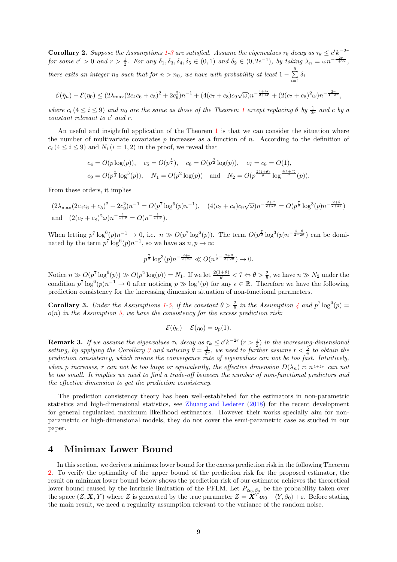**Corollary 2.** Suppose the Assumptions [1-](#page-5-3)[3](#page-5-5) are satisfied. Assume the eigenvalues  $\tau_k$  decay as  $\tau_k \leq c' k^{-2r}$ for some  $c' > 0$  and  $r > \frac{1}{2}$ . For any  $\delta_1, \delta_3, \delta_4, \delta_5 \in (0, 1)$  and  $\delta_2 \in (0, 2e^{-1})$ , by taking  $\lambda_n = \omega n^{-\frac{2r}{1+2r}}$ , there exits an integer  $n_0$  such that for  $n > n_0$ , we have with probability at least  $1 - \sum_{i=1}^{5}$  $\sum_{i=1} \delta_i$ 

$$
\mathcal{E}(\hat{\eta}_n) - \mathcal{E}(\eta_0) \le (2\lambda_{\max}(2c_4c_6 + c_5)^2 + 2c_9^2)n^{-1} + (4(c_7 + c_8)c_9\sqrt{\omega})n^{-\frac{1+4r}{2+4r}} + (2(c_7 + c_8)^2\omega)n^{-\frac{2r}{1+2r}},
$$

where  $c_i$  ( $4 \le i \le 9$ ) and  $n_0$  are the same as those of the Theorem [1](#page-6-0) except replacing  $\theta$  by  $\frac{1}{2r}$  and c by a constant relevant to c ′ and r.

An useful and insightful application of the Theorem [1](#page-6-0) is that we can consider the situation where the number of multivariate covariates  $p$  increases as a function of  $n$ . According to the definition of  $c_i$  (4  $\le i \le 9$ ) and  $N_i$  (i = 1, 2) in the proof, we reveal that

$$
c_4 = O(p \log(p)), \quad c_5 = O(p^{\frac{1}{2}}), \quad c_6 = O(p^{\frac{3}{2}} \log(p)), \quad c_7 = c_8 = O(1),
$$
  

$$
c_9 = O(p^{\frac{7}{2}} \log^3(p)), \quad N_1 = O(p^2 \log(p)) \quad \text{and} \quad N_2 = O(p^{\frac{2(1+\theta)}{\theta}} \log^{\frac{4(1+\theta)}{\theta}}(p)).
$$

From these orders, it implies

$$
(2\lambda_{\max}(2c_4c_6+c_5)^2+2c_9^2)n^{-1}=O(p^7\log^6(p)n^{-1}), \quad (4(c_7+c_8)c_9\sqrt{\omega})n^{-\frac{2+\theta}{2+2\theta}}=O(p^{\frac{7}{2}}\log^3(p)n^{-\frac{2+\theta}{2+2\theta}})
$$
  
and 
$$
(2(c_7+c_8)^2\omega)n^{-\frac{1}{1+\theta}}=O(n^{-\frac{1}{1+\theta}}).
$$

When letting  $p^7 \log^6(p) n^{-1} \to 0$ , i.e.  $n \gg O(p^7 \log^6(p))$ . The term  $O(p^{\frac{7}{2}} \log^3(p) n^{-\frac{2+\theta}{2+2\theta}})$  can be dominated by the term  $p^7 \log^6(p) n^{-1}$ , so we have as  $n, p \to \infty$ 

$$
p^{\frac{7}{2}} \log^3(p) n^{-\frac{2+\theta}{2+2\theta}} \ll O(n^{\frac{1}{2} - \frac{2+\theta}{2+2\theta}}) \to 0.
$$

Notice  $n \gg O(p^7 \log^6(p)) \gg O(p^2 \log(p)) = N_1$ . If we let  $\frac{2(1+\theta)}{\theta} < 7 \Leftrightarrow \theta > \frac{2}{5}$ , we have  $n \gg N_2$  under the condition  $p^7 \log^6(p) n^{-1} \to 0$  after noticing  $p \gg \log^{\epsilon}(p)$  for any  $\epsilon \in \mathbb{R}$ . Therefore we have the following prediction consistency for the increasing dimension situation of non-functional parameters.

<span id="page-8-1"></span>**Corollary 3.** Under the Assumptions [1-](#page-5-3)[5,](#page-5-6) if the constant  $\theta > \frac{2}{5}$  in the Assumption [4](#page-5-0) and  $p^7 \log^6(p) =$  $o(n)$  in the Assumption [5,](#page-5-6) we have the consistency for the excess prediction risk:

$$
\mathcal{E}(\hat{\eta}_n) - \mathcal{E}(\eta_0) = o_p(1).
$$

**Remark 3.** If we assume the eigenvalues  $\tau_k$  decay as  $\tau_k \leq c' k^{-2r}$   $(r > \frac{1}{2})$  in the increasing-dimensional setting, by applying the Corollary [3](#page-8-1) and noticing  $\theta = \frac{1}{2r}$ , we need to further assume  $r < \frac{5}{4}$  to obtain the prediction consistency, which means the convergence rate of eigenvalues can not be too fast. Intuitively, when p increases, r can not be too large or equivalently, the effective dimension  $D(\lambda_n) \approx n^{\frac{1}{1+2r}}$  can not be too small. It implies we need to find a trade-off between the number of non-functional predictors and the effective dimension to get the prediction consistency.

The prediction consistency theory has been well-established for the estimators in non-parametric statistics and high-dimensional statistics, see [Zhuang and Lederer](#page-23-11) [\(2018](#page-23-11)) for the recent development for general regularized maximum likelihood estimators. However their works specially aim for nonparametric or high-dimensional models, they do not cover the semi-parametric case as studied in our paper.

# <span id="page-8-0"></span>4 Minimax Lower Bound

In this section, we derive a minimax lower bound for the excess prediction risk in the following Theorem [2.](#page-9-1) To verify the optimality of the upper bound of the prediction risk for the proposed estimator, the result on minimax lower bound below shows the prediction risk of our estimator achieves the theoretical lower bound caused by the intrinsic limitation of the PFLM. Let  $P_{\alpha_0,\beta_0}$  be the probability taken over the space  $(Z, X, Y)$  where Z is generated by the true parameter  $Z = \mathbf{X}^T \boldsymbol{\alpha}_0 + \langle Y, \beta_0 \rangle + \varepsilon$ . Before stating the main result, we need a regularity assumption relevant to the variance of the random noise.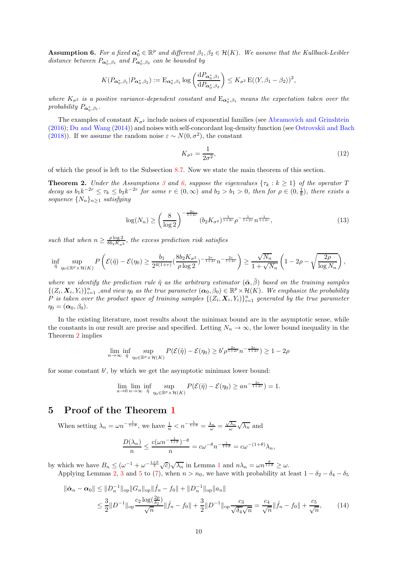<span id="page-9-2"></span>**Assumption 6.** For a fixed  $\alpha_0^* \in \mathbb{R}^p$  and different  $\beta_1, \beta_2 \in \mathcal{H}(K)$ . We assume that the Kullback-Leibler distance between  $P_{\boldsymbol{\alpha}_0^*,\beta_1}$  and  $P_{\boldsymbol{\alpha}_0^*,\beta_2}$  can be bounded by

$$
K(P_{\alpha_0^*,\beta_1}|P_{\alpha_0^*,\beta_2}) := \mathcal{E}_{\alpha_0^*,\beta_1} \log \left(\frac{\mathrm{d}P_{\alpha_0^*,\beta_1}}{\mathrm{d}P_{\alpha_0^*,\beta_2}}\right) \leq K_{\sigma^2} \mathcal{E}(\langle Y,\beta_1-\beta_2\rangle)^2,
$$

where  $K_{\sigma^2}$  is a positive variance-dependent constant and  $E_{\alpha_0^*,\beta_1}$  means the expectation taken over the probability  $P_{\boldsymbol{\alpha}_0^*,\beta_1}$ .

The examples of constant  $K_{\sigma^2}$  include noises of exponential families (see [Abramovich and Grinshtein](#page-22-19) [\(2016\)](#page-22-19); [Du and Wang](#page-22-4) [\(2014\)](#page-22-4)) and noises with self-concordant log-density function (see [Ostrovskii and Bach](#page-22-20) [\(2018\)](#page-22-20)). If we assume the random noise  $\varepsilon \sim N(0, \sigma^2)$ , the constant

<span id="page-9-4"></span>
$$
K_{\sigma^2} = \frac{1}{2\sigma^2},\tag{12}
$$

of which the proof is left to the Subsection [8.7.](#page-21-1) Now we state the main theorem of this section.

<span id="page-9-1"></span>**Theorem 2.** Under the Assumptions [3](#page-5-5) and [6,](#page-9-2) suppose the eigenvalues  $\{\tau_k : k \geq 1\}$  of the operator T decay as  $b_1k^{-2r} \leq \tau_k \leq b_2k^{-2r}$  for some  $r \in (0, \infty)$  and  $b_2 > b_1 > 0$ , then for  $\rho \in (0, \frac{1}{8})$ , there exists a sequence  $\{N_n\}_{n\geq 1}$  satisfying

$$
\log(N_n) \ge \left(\frac{8}{\log 2}\right)^{-\frac{2r}{1+2r}} (b_2 K_{\sigma^2})^{\frac{1}{1+2r}} \rho^{-\frac{1}{1+2r}} n^{\frac{1}{1+2r}}, \tag{13}
$$

such that when  $n \geq \frac{\rho \log 2}{8b_2 K_{\sigma^2}}$ , the excess prediction risk satisfies

$$
\inf_{\tilde{\eta}}\sup_{\eta_0\in\mathbb{R}^p\times\mathcal{H}(K)}P\left(\mathcal{E}(\tilde{\eta})-\mathcal{E}(\eta_0)\geq\frac{b_1}{2^{4(1+r)}}(\frac{8b_2K_{\sigma^2}}{\rho\log 2})^{-\frac{2r}{1+2r}}n^{-\frac{2r}{1+2r}}\right)\geq\frac{\sqrt{N_n}}{1+\sqrt{N_n}}\left(1-2\rho-\sqrt{\frac{2\rho}{\log N_n}}\right),
$$

where we identify the prediction rule  $\tilde{\eta}$  as the arbitrary estimator  $(\tilde{\alpha}, \tilde{\beta})$  based on the training samples  $\{(Z_i, X_i, Y_i)\}_{i=1}^n$ , and view  $\eta_0$  as the true parameter  $(\alpha_0, \beta_0) \in \mathbb{R}^p \times \mathcal{H}(K)$ . We emphasize the probability  $\tilde{P}$  is taken over the product space of training samples  $\{(Z_i, \boldsymbol{X}_i, Y_i)\}_{i=1}^n$  generated by the true parameter  $\eta_0 = (\boldsymbol{\alpha}_0, \beta_0).$ 

In the existing literature, most results about the minimax bound are in the asymptotic sense, while the constants in our result are precise and specified. Letting  $N_n \to \infty$ , the lower bound inequality in the Theorem [2](#page-9-1) implies

$$
\lim_{n \to \infty} \inf_{\tilde{\eta}} \sup_{\eta_0 \in \mathbb{R}^p \times \mathcal{H}(K)} P(\mathcal{E}(\tilde{\eta}) - \mathcal{E}(\eta_0) \ge b' \rho^{\frac{2r}{1+2r}} n^{-\frac{2r}{1+2r}}) \ge 1 - 2\rho
$$

for some constant b', by which we get the asymptotic minimax lower bound:

$$
\lim_{a \to 0} \lim_{n \to \infty} \inf_{\tilde{\eta}} \sup_{\eta_0 \in \mathbb{R}^p \times \mathcal{H}(K)} P(\mathcal{E}(\tilde{\eta}) - \mathcal{E}(\eta_0) \ge an^{-\frac{2r}{1+2r}}) = 1.
$$

# <span id="page-9-0"></span>5 Proof of the Theorem [1](#page-6-0)

When setting  $\lambda_n = \omega n^{-\frac{1}{1+\theta}}$ , we have  $\frac{1}{n} < n^{-\frac{1}{1+\theta}} = \frac{\lambda_n}{\omega} = \frac{\sqrt{\lambda_n}}{\omega} \sqrt{\lambda_n}$  and

<span id="page-9-3"></span>
$$
\frac{D(\lambda_n)}{n} \le \frac{c(\omega n^{-\frac{1}{1+\theta}})^{-\theta}}{n} = c\omega^{-\theta} n^{-\frac{1}{1+\theta}} = c\omega^{-(1+\theta)}\lambda_n,
$$

by which we have  $B_n \leq (\omega^{-1} + \omega^{-\frac{1+\theta}{2}}\sqrt{c})\sqrt{\lambda_n}$  $B_n \leq (\omega^{-1} + \omega^{-\frac{1+\theta}{2}}\sqrt{c})\sqrt{\lambda_n}$  $B_n \leq (\omega^{-1} + \omega^{-\frac{1+\theta}{2}}\sqrt{c})\sqrt{\lambda_n}$  in Lemma 1 and  $n\lambda_n = \omega n^{\frac{\theta}{1+\theta}} \geq \omega$ . Applying Lemmas [2,](#page-6-1) [3](#page-15-0) and [5](#page-16-0) to [\(7\)](#page-5-2), when  $n > n_0$ , we have with probability at least  $1 - \delta_2 - \delta_4 - \delta_5$ 

$$
\|\hat{\alpha}_n - \alpha_0\| \le \|D_n^{-1}\|_{\text{op}} \|G_n\|_{\text{op}} \|\hat{f}_n - f_0\| + \|D_n^{-1}\|_{\text{op}} \|a_n\|
$$
  

$$
\le \frac{3}{2} \|D^{-1}\|_{\text{op}} \frac{c_2 \log(\frac{2p}{\delta_2})}{\sqrt{n}} \|\hat{f}_n - f_0\| + \frac{3}{2} \|D^{-1}\|_{\text{op}} \frac{c_3}{\sqrt{\delta_4 \sqrt{n}}} = \frac{c_4}{\sqrt{n}} \|\hat{f}_n - f_0\| + \frac{c_5}{\sqrt{n}}, \tag{14}
$$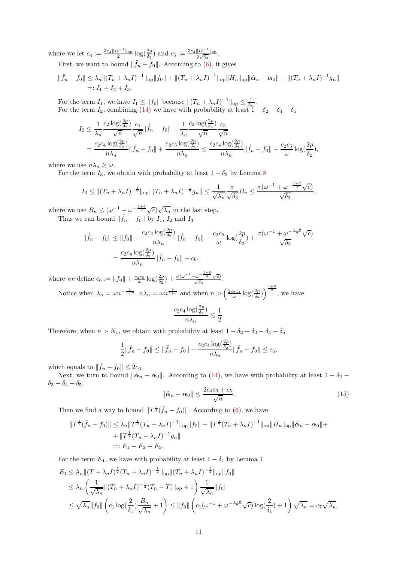where we let  $c_4 := \frac{3c_2 ||D^{-1}||_{op}}{2} \log(\frac{2p}{\delta_2})$  and  $c_5 := \frac{3c_3 ||D^{-1}||_{op}}{2\sqrt{\delta_4}}$ .

First, we want to bound  $\|\hat{f}_n - f_0\|$ . According to [\(6\)](#page-5-2), it gives

$$
\|\hat{f}_n - f_0\| \leq \lambda_n \|(T_n + \lambda_n I)^{-1}\|_{\text{op}} \|f_0\| + \|(T_n + \lambda_n I)^{-1}\|_{\text{op}} \|H_n\|_{\text{op}} \|\hat{\alpha}_n - \alpha_0\| + \|(T_n + \lambda_n I)^{-1}g_n\|
$$
  
=:  $I_1 + I_2 + I_3$ .

For the term  $I_1$ , we have  $I_1 \le ||f_0||$  because  $||(T_n + \lambda_n I)^{-1}||_{op} \le \frac{1}{\lambda_n}$ . For the term  $I_2$ , combining [\(14\)](#page-9-3) we have with probability at least  $1 - \delta_2 - \delta_4 - \delta_5$ 

$$
I_2 \leq \frac{1}{\lambda_n} \frac{c_2 \log(\frac{2p}{\delta_2})}{\sqrt{n}} \frac{c_4}{\sqrt{n}} \|\hat{f}_n - f_0\| + \frac{1}{\lambda_n} \frac{c_2 \log(\frac{2p}{\delta_2})}{\sqrt{n}} \frac{c_5}{\sqrt{n}} = \frac{c_2 c_4 \log(\frac{2p}{\delta_2})}{n \lambda_n} \|\hat{f}_n - f_0\| + \frac{c_2 c_5 \log(\frac{2p}{\delta_2})}{n \lambda_n} \leq \frac{c_2 c_4 \log(\frac{2p}{\delta_2})}{n \lambda_n} \|\hat{f}_n - f_0\| + \frac{c_2 c_5}{\omega} \log(\frac{2p}{\delta_2}),
$$

where we use  $n\lambda_n \geq \omega$ .

For the term  $I_3$ , we obtain with probability at least  $1 - \delta_3$  by Lemma [8](#page-19-0)

$$
I_3 \leq ||(T_n + \lambda_n I)^{-\frac{1}{2}}||_{\text{op}} ||(T_n + \lambda_n I)^{-\frac{1}{2}} g_n|| \leq \frac{1}{\sqrt{\lambda_n}} \frac{\sigma}{\sqrt{\delta_3}} B_n \leq \frac{\sigma(\omega^{-1} + \omega^{-\frac{1+\theta}{2}} \sqrt{c})}{\sqrt{\delta_3}},
$$

where we use  $B_n \leq (\omega^{-1} + \omega^{-\frac{1+\theta}{2}} \sqrt{c})\sqrt{\lambda_n}$  in the last step. Thus we can bound  $\|\hat{f}_n - f_0\|$  by  $I_1$ ,  $I_2$  and  $I_3$ 

$$
\|\hat{f}_n - f_0\| \le \|f_0\| + \frac{c_2 c_4 \log(\frac{2p}{\delta_2})}{n\lambda_n} \|\hat{f}_n - f_0\| + \frac{c_2 c_5}{\omega} \log(\frac{2p}{\delta_2}) + \frac{\sigma(\omega^{-1} + \omega^{-\frac{1+\theta}{2}}\sqrt{c})}{\sqrt{\delta_3}}
$$
  
= 
$$
\frac{c_2 c_4 \log(\frac{2p}{\delta_2})}{n\lambda_n} \|\hat{f}_n - f_0\| + c_6,
$$

where we define  $c_6 := ||f_0|| + \frac{c_2c_5}{\omega} \log(\frac{2p}{\delta_2}) + \frac{\sigma(\omega^{-1} + \omega^{-\frac{1+\theta}{2}}\sqrt{c})}{\sqrt{\delta_3}}.$ 

Notice when  $\lambda_n = \omega n^{-\frac{1}{1+\theta}}$ ,  $n\lambda_n = \omega n^{\frac{\theta}{1+\theta}}$  and when  $n > \left(\frac{2c_2c_4}{\omega} \log(\frac{2p}{\delta_5})\right)^{\frac{1+\theta}{\theta}}$ , we have

$$
\frac{c_2c_4\log(\frac{2p}{\delta_2})}{n\lambda_n}\leq \frac{1}{2}.
$$

Therefore, when  $n > N_1$ , we obtain with probability at least  $1 - \delta_2 - \delta_3 - \delta_4 - \delta_5$ 

$$
\frac{1}{2} \|\hat{f}_n - f_0\| \le \|\hat{f}_n - f_0\| - \frac{c_2 c_4 \log(\frac{2p}{\delta_2})}{n \lambda_n} \|\hat{f}_n - f_0\| \le c_6,
$$

which equals to  $\|\hat{f}_n - f_0\| \leq 2c_6$ .

Next, we turn to bound  $\|\hat{\boldsymbol{\alpha}}_n - \boldsymbol{\alpha}_0\|$ . According to [\(14\)](#page-9-3), we have with probability at least  $1 - \delta_2$  –  $\delta_3 - \delta_4 - \delta_5,$ 

<span id="page-10-0"></span>
$$
\|\hat{\boldsymbol{\alpha}}_n - \boldsymbol{\alpha}_0\| \le \frac{2c_4c_6 + c_5}{\sqrt{n}}.\tag{15}
$$

Then we find a way to bound  $||T^{\frac{1}{2}}(\hat{f}_n - f_0)||$ . According to [\(6\)](#page-5-2), we have

$$
||T^{\frac{1}{2}}(\hat{f}_n - f_0)|| \leq \lambda_n ||T^{\frac{1}{2}}(T_n + \lambda_n I)^{-1}||_{op}||f_0|| + ||T^{\frac{1}{2}}(T_n + \lambda_n I)^{-1}||_{op}||H_n||_{op}||\hat{\alpha}_n - \alpha_0|| +
$$
  
+ 
$$
||T^{\frac{1}{2}}(T_n + \lambda_n I)^{-1}g_n||
$$
  
=:  $E_1 + E_2 + E_3$ .

For the term  $E_1$  $E_1$ , we have with probability at least  $1 - \delta_1$  by Lemma 1

$$
E_1 \leq \lambda_n \| (T + \lambda_n I)^{\frac{1}{2}} (T_n + \lambda_n I)^{-\frac{1}{2}} \|_{op} \| (T_n + \lambda_n I)^{-\frac{1}{2}} \|_{op} \| f_0 \|
$$
  
\n
$$
\leq \lambda_n \left( \frac{1}{\sqrt{\lambda_n}} \| (T_n + \lambda_n I)^{-\frac{1}{2}} (T_n - T) \|_{op} + 1 \right) \frac{1}{\sqrt{\lambda_n}} \| f_0 \|
$$
  
\n
$$
\leq \sqrt{\lambda_n} \| f_0 \| \left( c_1 \log(\frac{2}{\delta_1}) \frac{B_n}{\sqrt{\lambda_n}} + 1 \right) \leq \| f_0 \| \left( c_1 (\omega^{-1} + \omega^{-\frac{1+\theta}{2}} \sqrt{c}) \log(\frac{2}{\delta_1}) + 1 \right) \sqrt{\lambda_n} = c_7 \sqrt{\lambda_n},
$$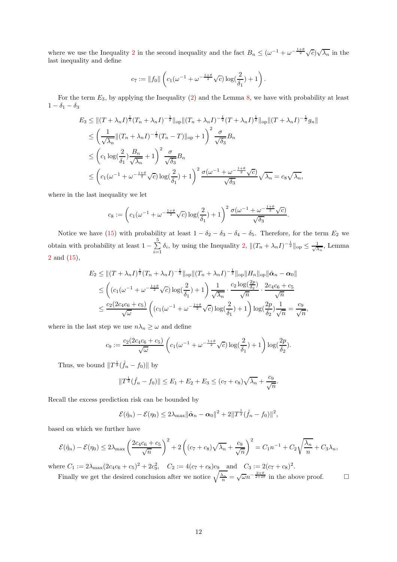where we use the Inequality [2](#page-20-0) in the second inequality and the fact  $B_n \leq (\omega^{-1} + \omega^{-\frac{1+\theta}{2}}\sqrt{c})\sqrt{\lambda_n}$  in the last inequality and define

$$
c_7 := ||f_0|| \left( c_1 (\omega^{-1} + \omega^{-\frac{1+\theta}{2}} \sqrt{c}) \log(\frac{2}{\delta_1}) + 1 \right).
$$

For the term  $E_3$ , by applying the Inequality [\(2\)](#page-20-0) and the Lemma [8,](#page-19-0) we have with probability at least  $1 - \delta_1 - \delta_3$ 

$$
E_3 \le ||(T + \lambda_n I)^{\frac{1}{2}} (T_n + \lambda_n I)^{-\frac{1}{2}} ||_{op} ||(T_n + \lambda_n I)^{-\frac{1}{2}} (T + \lambda_n I)^{\frac{1}{2}} ||_{op} ||(T + \lambda_n I)^{-\frac{1}{2}} g_n||
$$
  
\n
$$
\le \left(\frac{1}{\sqrt{\lambda_n}} ||(T_n + \lambda_n I)^{-\frac{1}{2}} (T_n - T)||_{op} + 1\right)^2 \frac{\sigma}{\sqrt{\delta_3}} B_n
$$
  
\n
$$
\le \left(c_1 \log(\frac{2}{\delta_1}) \frac{B_n}{\sqrt{\lambda_n}} + 1\right)^2 \frac{\sigma}{\sqrt{\delta_3}} B_n
$$
  
\n
$$
\le \left(c_1 (\omega^{-1} + \omega^{-\frac{1+\theta}{2}} \sqrt{c}) \log(\frac{2}{\delta_1}) + 1\right)^2 \frac{\sigma(\omega^{-1} + \omega^{-\frac{1+\theta}{2}} \sqrt{c})}{\sqrt{\delta_3}} \sqrt{\lambda_n} = c_8 \sqrt{\lambda_n},
$$

where in the last inequality we let

$$
c_8 := \left(c_1(\omega^{-1} + \omega^{-\frac{1+\theta}{2}}\sqrt{c})\log\left(\frac{2}{\delta_1}\right) + 1\right)^2 \frac{\sigma(\omega^{-1} + \omega^{-\frac{1+\theta}{2}}\sqrt{c})}{\sqrt{\delta_3}}
$$

.

.

,

Notice we have [\(15\)](#page-10-0) with probability at least  $1 - \delta_2 - \delta_3 - \delta_4 - \delta_5$ . Therefore, for the term  $E_2$  we obtain with probability at least  $1 - \sum_{n=1}^{5}$  $\sum_{i=1}^{n} \delta_i$ , by using the Inequality [2,](#page-20-0)  $\|(T_n + \lambda_n I)^{-\frac{1}{2}}\|_{\text{op}} \leq \frac{1}{\sqrt{2}}$  $\frac{1}{\lambda_n}$ , Lemma [2](#page-6-1) and [\(15\)](#page-10-0),

$$
E_2 \le ||(T + \lambda_n I)^{\frac{1}{2}} (T_n + \lambda_n I)^{-\frac{1}{2}}||_{op} ||(T_n + \lambda_n I)^{-\frac{1}{2}}||_{op} ||H_n||_{op} ||\hat{\alpha}_n - \alpha_0||
$$
  
\n
$$
\le \left( (c_1(\omega^{-1} + \omega^{-\frac{1+\theta}{2}}\sqrt{c}) \log(\frac{2}{\delta_1}) + 1 \right) \frac{1}{\sqrt{\lambda_n}} \cdot \frac{c_2 \log(\frac{2p}{\delta_2})}{\sqrt{n}} \cdot \frac{2c_4 c_6 + c_5}{\sqrt{n}}
$$
  
\n
$$
\le \frac{c_2(2c_4 c_6 + c_5)}{\sqrt{\omega}} \left( (c_1(\omega^{-1} + \omega^{-\frac{1+\theta}{2}}\sqrt{c}) \log(\frac{2}{\delta_1}) + 1 \right) \log(\frac{2p}{\delta_2}) \frac{1}{\sqrt{n}} = \frac{c_9}{\sqrt{n}}
$$

where in the last step we use  $n\lambda_n \geq \omega$  and define

$$
c_9 := \frac{c_2(2c_4c_6 + c_5)}{\sqrt{\omega}} \left( c_1(\omega^{-1} + \omega^{-\frac{1+\theta}{2}}\sqrt{c}) \log(\frac{2}{\delta_1}) + 1 \right) \log(\frac{2p}{\delta_2}).
$$

Thus, we bound  $||T^{\frac{1}{2}}(\hat{f}_n - f_0)||$  by

$$
||T^{\frac{1}{2}}(\hat{f}_n - f_0)|| \le E_1 + E_2 + E_3 \le (c_7 + c_8)\sqrt{\lambda_n} + \frac{c_9}{\sqrt{n}}
$$

Recall the excess prediction risk can be bounded by

$$
\mathcal{E}(\hat{\eta}_n) - \mathcal{E}(\eta_0) \le 2\lambda_{\max} ||\hat{\alpha}_n - \alpha_0||^2 + 2||T^{\frac{1}{2}}(\hat{f}_n - f_0)||^2,
$$

based on which we further have

$$
\mathcal{E}(\hat{\eta}_n) - \mathcal{E}(\eta_0) \le 2\lambda_{\max} \left(\frac{2c_4c_6 + c_5}{\sqrt{n}}\right)^2 + 2\left((c_7 + c_8)\sqrt{\lambda_n} + \frac{c_9}{\sqrt{n}}\right)^2 = C_1n^{-1} + C_2\sqrt{\frac{\lambda_n}{n}} + C_3\lambda_n,
$$

where  $C_1 := 2\lambda_{\text{max}}(2c_4c_6 + c_5)^2 + 2c_9^2$ ,  $C_2 := 4(c_7 + c_8)c_9$  and  $C_3 := 2(c_7 + c_8)^2$ .

Finally we get the desired conclusion after we notice  $\sqrt{\frac{\lambda_n}{n}} = \sqrt{\omega}n^{-\frac{2+\theta}{2+2\theta}}$  in the above proof.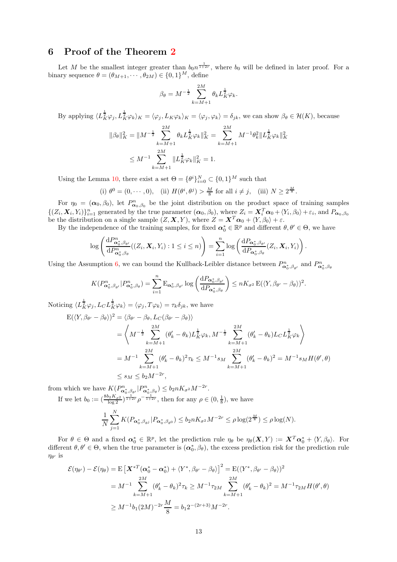# <span id="page-12-0"></span>6 Proof of the Theorem [2](#page-9-1)

Let M be the smallest integer greater than  $b_0 n^{\frac{1}{1+2r}}$ , where  $b_0$  will be defined in later proof. For a binary sequence  $\theta = (\theta_{M+1}, \dots, \theta_{2M}) \in \{0, 1\}^M$ , define

$$
\beta_{\theta} = M^{-\frac{1}{2}} \sum_{k=M+1}^{2M} \theta_k L_K^{\frac{1}{2}} \varphi_k.
$$

By applying  $\langle L^{\frac{1}{2}}_K\varphi_j, L^{\frac{1}{2}}_K\varphi_k\rangle_K = \langle \varphi_j, L_K\varphi_k\rangle_K = \langle \varphi_j, \varphi_k\rangle = \delta_{jk}$ , we can show  $\beta_{\theta} \in \mathcal{H}(K)$ , because

$$
\|\beta_{\theta}\|_{K}^{2} = \|M^{-\frac{1}{2}} \sum_{k=M+1}^{2M} \theta_{k} L_{K}^{\frac{1}{2}} \varphi_{k}\|_{K}^{2} = \sum_{k=M+1}^{2M} M^{-1} \theta_{k}^{2} \|L_{K}^{\frac{1}{2}} \varphi_{k}\|_{K}^{2}
$$

$$
\leq M^{-1} \sum_{k=M+1}^{2M} \|L_{K}^{\frac{1}{2}} \varphi_{k}\|_{K}^{2} = 1.
$$

Using the Lemma [10,](#page-21-2) there exist a set  $\Theta = {\theta^i}_{i=0}^N \subset {0,1}^M$  such that

(i) 
$$
\theta^0 = (0, \dots, 0)
$$
, (ii)  $H(\theta^i, \theta^j) > \frac{M}{8}$  for all  $i \neq j$ , (iii)  $N \geq 2^{\frac{M}{8}}$ .

For  $\eta_0 = (\alpha_0, \beta_0)$ , let  $P^n_{\alpha_0, \beta_0}$  be the joint distribution on the product space of training samples  $\{(Z_i, X_i, Y_i)\}_{i=1}^n$  generated by the true parameter  $(\boldsymbol{\alpha}_0, \beta_0)$ , where  $Z_i = \boldsymbol{X}_i^T \boldsymbol{\alpha}_0 + \langle Y_i, \beta_0 \rangle + \varepsilon_i$ , and  $P_{\boldsymbol{\alpha}_0, \beta_0}$ be the distribution on a single sample  $(Z, X, Y)$ , where  $Z = X^T \alpha_0 + \langle Y, \beta_0 \rangle + \varepsilon$ .

By the independence of the training samples, for fixed  $\alpha_0^* \in \mathbb{R}^p$  and different  $\theta, \theta' \in \Theta$ , we have

$$
\log\left(\frac{\mathrm{d}P^n_{\alpha_0^*,\beta_{\theta'}}}{\mathrm{d}P^n_{\alpha_0^*,\beta_{\theta}}}((Z_i,\boldsymbol{X}_i,Y_i):1\leq i\leq n)\right)=\sum_{i=1}^n\log\left(\frac{\mathrm{d}P_{\alpha_0^*,\beta_{\theta'}}}{\mathrm{d}P_{\alpha_0^*,\beta_{\theta}}}(Z_i,\boldsymbol{X}_i,Y_i)\right).
$$

Using the Assumption [6,](#page-9-2) we can bound the Kullback-Leibler distance between  $P^n_{\alpha_0^*,\beta_{\theta'}}$  and  $P^n_{\alpha_0^*,\beta_{\theta}}$ 

$$
K(P^n_{\alpha_0^*,\beta_{\theta'}}|P^n_{\alpha_0^*,\beta_{\theta}}) = \sum_{i=1}^n \mathrm{E}_{\alpha_0^*,\beta_{\theta'}} \log \left( \frac{\mathrm{d} P_{\alpha_0^*,\beta_{\theta'}}}{\mathrm{d} P_{\alpha_0^*,\beta_{\theta}}} \right) \leq n K_{\sigma^2} \mathrm{E}(\langle Y,\beta_{\theta'}-\beta_{\theta} \rangle)^2.
$$

Noticing  $\langle L_K^{\frac{1}{2}} \varphi_j, L_C L_K^{\frac{1}{2}} \varphi_k \rangle = \langle \varphi_j, T \varphi_k \rangle = \tau_k \delta_{jk}$ , we have  $E(\langle$ 

$$
\langle Y, \beta_{\theta'} - \beta_{\theta} \rangle \rangle^{2} = \langle \beta_{\theta'} - \beta_{\theta}, L_{C}(\beta_{\theta'} - \beta_{\theta}) \rangle
$$
  
\n
$$
= \left\langle M^{-\frac{1}{2}} \sum_{k=M+1}^{2M} (\theta'_{k} - \theta_{k}) L_{K}^{\frac{1}{2}} \varphi_{k}, M^{-\frac{1}{2}} \sum_{k=M+1}^{2M} (\theta'_{k} - \theta_{k}) L_{C} L_{K}^{\frac{1}{2}} \varphi_{k} \right\rangle
$$
  
\n
$$
= M^{-1} \sum_{k=M+1}^{2M} (\theta'_{k} - \theta_{k})^{2} \tau_{k} \le M^{-1} s_{M} \sum_{k=M+1}^{2M} (\theta'_{k} - \theta_{k})^{2} = M^{-1} s_{M} H(\theta', \theta)
$$
  
\n
$$
\le s_{M} \le b_{2} M^{-2r},
$$

from which we have  $K(P^n_{\alpha_0^*,\beta_{\theta'}}|P^n_{\alpha_0^*,\beta_{\theta}}) \leq b_2 n K_{\sigma^2} M^{-2r}$ .

If we let  $b_0 := (\frac{8b_2 K_{\sigma^2}}{\log 2})^{\frac{1}{1+2r}} \rho^{-\frac{1}{1+2r}}$ , then for any  $\rho \in (0, \frac{1}{8})$ , we have

$$
\frac{1}{N} \sum_{j=1}^{N} K(P_{\alpha_0^*, \beta_{\theta^j}} | P_{\alpha_0^*, \beta_{\theta^0}}) \le b_2 n K_{\sigma^2} M^{-2r} \le \rho \log(2^{\frac{M}{8}}) \le \rho \log(N).
$$

For  $\theta \in \Theta$  and a fixed  $\alpha_0^* \in \mathbb{R}^p$ , let the prediction rule  $\eta_\theta$  be  $\eta_\theta(\mathbf{X}, Y) := \mathbf{X}^T \alpha_0^* + \langle Y, \beta_\theta \rangle$ . For different  $\theta, \theta' \in \Theta$ , when the true parameter is  $(\alpha_0^*, \beta_\theta)$ , the excess prediction risk for the prediction rule  $\eta_{\theta'}$  is

$$
\mathcal{E}(\eta_{\theta'}) - \mathcal{E}(\eta_{\theta}) = \mathbb{E}\left[\mathbf{X}^{*T}(\alpha_0^* - \alpha_0^*) + \langle Y^*, \beta_{\theta'} - \beta_{\theta} \rangle\right]^2 = \mathbb{E}(\langle Y^*, \beta_{\theta'} - \beta_{\theta} \rangle)^2
$$
  
=  $M^{-1} \sum_{k=M+1}^{2M} (\theta_k' - \theta_k)^2 \tau_k \ge M^{-1} \tau_{2M} \sum_{k=M+1}^{2M} (\theta_k' - \theta_k)^2 = M^{-1} \tau_{2M} H(\theta', \theta)$   
 $\ge M^{-1} b_1 (2M)^{-2r} \frac{M}{8} = b_1 2^{-(2r+3)} M^{-2r}.$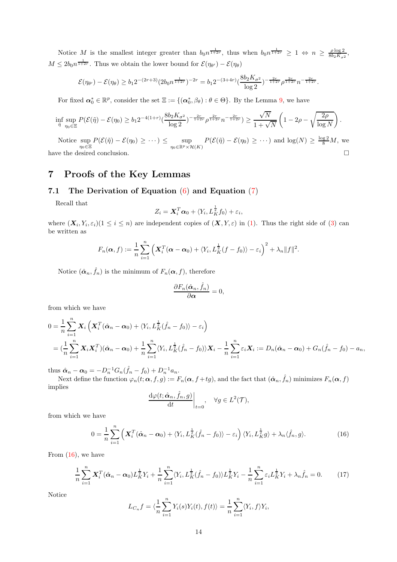Notice M is the smallest integer greater than  $b_0 n^{\frac{1}{1+2r}}$ , thus when  $b_0 n^{\frac{1}{1+2r}} \geq 1 \Leftrightarrow n \geq \frac{\rho \log 2}{8b_2 K_{\sigma^2}}$ ,  $M \leq 2b_0 n^{\frac{1}{1+2r}}$ . Thus we obtain the lower bound for  $\mathcal{E}(\eta_{\theta'}) - \mathcal{E}(\eta_{\theta})$ 

$$
\mathcal{E}(\eta_{\theta'}) - \mathcal{E}(\eta_{\theta}) \ge b_1 2^{-(2r+3)} (2b_0 n^{\frac{1}{1+2r}})^{-2r} = b_1 2^{-(3+4r)} \left(\frac{8b_2 K_{\sigma^2}}{\log 2}\right)^{-\frac{2r}{1+2r}} \rho^{\frac{2r}{1+2r}} n^{-\frac{2r}{1+2r}}.
$$

For fixed  $\alpha_0^* \in \mathbb{R}^p$ , consider the set  $\Xi := \{(\alpha_0^*, \beta_\theta) : \theta \in \Theta\}$ . By the Lemma [9,](#page-20-1) we have

$$
\inf_{\tilde{\eta}}\sup_{\eta_0\in\Xi}P(\mathcal{E}(\tilde{\eta})-\mathcal{E}(\eta_0)\geq b_1 2^{-4(1+r)}(\frac{8b_2K_{\sigma^2}}{\log 2})^{-\frac{2r}{1+2r}}\rho^{\frac{2r}{1+2r}}n^{-\frac{2r}{1+2r}})\geq \frac{\sqrt{N}}{1+\sqrt{N}}\left(1-2\rho-\sqrt{\frac{2\rho}{\log N}}\right).
$$

Notice sup  $\sup_{\eta_0 \in \Xi} P(\mathcal{E}(\tilde{\eta}) - \mathcal{E}(\eta_0) \geq \cdots) \leq \sup_{\eta_0 \in \mathbb{R}^p \times \mathcal{H}(K)} P(\mathcal{E}(\tilde{\eta}) - \mathcal{E}(\eta_0) \geq \cdots)$  and  $\log(N) \geq \frac{\log 2}{8}M$ , we have the desired conclusion.  $\hfill \square$ 

# <span id="page-13-0"></span>7 Proofs of the Key Lemmas

## <span id="page-13-1"></span>7.1 The Derivation of Equation  $(6)$  and Equation  $(7)$

Recall that

$$
Z_i = \mathbf{X}_i^T \boldsymbol{\alpha}_0 + \langle Y_i, L_K^{\frac{1}{2}} f_0 \rangle + \varepsilon_i,
$$

where  $(\mathbf{X}_i, Y_i, \varepsilon_i)$  ( $1 \leq i \leq n$ ) are independent copies of  $(\mathbf{X}, Y, \varepsilon)$  in [\(1\)](#page-1-0). Thus the right side of [\(3\)](#page-4-1) can be written as

$$
F_n(\boldsymbol{\alpha},f):=\frac{1}{n}\sum_{i=1}^n\left(\boldsymbol{X}_i^T(\boldsymbol{\alpha}-\boldsymbol{\alpha}_0)+\langle Y_i,L_K^{\frac{1}{2}}(f-f_0)\rangle-\varepsilon_i\right)^2+\lambda_n\|f\|^2.
$$

Notice  $(\hat{\alpha}_n, \hat{f}_n)$  is the minimum of  $F_n(\alpha, f)$ , therefore

$$
\frac{\partial F_n(\hat{\boldsymbol{\alpha}}_n,\hat{f}_n)}{\partial \boldsymbol{\alpha}}=0,
$$

from which we have

$$
0 = \frac{1}{n} \sum_{i=1}^{n} \mathbf{X}_{i} \left( \mathbf{X}_{i}^{T}(\hat{\boldsymbol{\alpha}}_{n} - \boldsymbol{\alpha}_{0}) + \langle Y_{i}, L_{K}^{\frac{1}{2}}(\hat{f}_{n} - f_{0}) \rangle - \varepsilon_{i} \right)
$$
  
= 
$$
(\frac{1}{n} \sum_{i=1}^{n} \mathbf{X}_{i} \mathbf{X}_{i}^{T})(\hat{\boldsymbol{\alpha}}_{n} - \boldsymbol{\alpha}_{0}) + \frac{1}{n} \sum_{i=1}^{n} \langle Y_{i}, L_{K}^{\frac{1}{2}}(\hat{f}_{n} - f_{0}) \rangle \mathbf{X}_{i} - \frac{1}{n} \sum_{i=1}^{n} \varepsilon_{i} \mathbf{X}_{i} := D_{n}(\hat{\boldsymbol{\alpha}}_{n} - \boldsymbol{\alpha}_{0}) + G_{n}(\hat{f}_{n} - f_{0}) - a_{n},
$$

thus  $\hat{\boldsymbol{\alpha}}_n - \boldsymbol{\alpha}_0 = -D_n^{-1} G_n(\hat{f}_n - f_0) + D_n^{-1} a_n$ .

Next define the function  $\varphi_n(t; \alpha, f, g) := F_n(\alpha, f+tg)$ , and the fact that  $(\hat{\alpha}_n, \hat{f}_n)$  minimizes  $F_n(\alpha, f)$ implies

<span id="page-13-2"></span>
$$
\left. \frac{\mathrm{d}\varphi(t; \hat{\boldsymbol{\alpha}}_n, \hat{f}_n, g)}{\mathrm{d}t} \right|_{t=0}, \quad \forall g \in L^2(\mathcal{T}),
$$

from which we have

$$
0 = \frac{1}{n} \sum_{i=1}^{n} \left( \mathbf{X}_i^T (\hat{\boldsymbol{\alpha}}_n - \boldsymbol{\alpha}_0) + \langle Y_i, L_K^{\frac{1}{2}} (\hat{f}_n - f_0) \rangle - \varepsilon_i \right) \langle Y_i, L_K^{\frac{1}{2}} g \rangle + \lambda_n \langle \hat{f}_n, g \rangle.
$$
 (16)

From  $(16)$ , we have

<span id="page-13-3"></span>
$$
\frac{1}{n}\sum_{i=1}^{n} X_i^T(\hat{\alpha}_n - \alpha_0) L_K^{\frac{1}{2}} Y_i + \frac{1}{n} \sum_{i=1}^{n} \langle Y_i, L_K^{\frac{1}{2}}(\hat{f}_n - f_0) \rangle L_K^{\frac{1}{2}} Y_i - \frac{1}{n} \sum_{i=1}^{n} \varepsilon_i L_K^{\frac{1}{2}} Y_i + \lambda_n \hat{f}_n = 0. \tag{17}
$$

Notice

$$
L_{C_n}f = \langle \frac{1}{n} \sum_{i=1}^n Y_i(s)Y_i(t), f(t) \rangle = \frac{1}{n} \sum_{i=1}^n \langle Y_i, f \rangle Y_i,
$$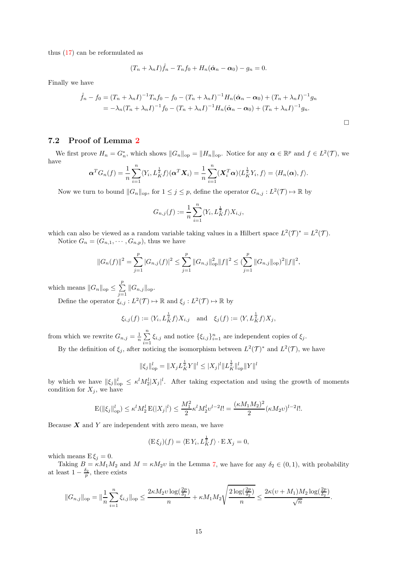thus [\(17\)](#page-13-3) can be reformulated as

$$
(T_n + \lambda_n I)\hat{f}_n - T_nf_0 + H_n(\hat{\boldsymbol{\alpha}}_n - \boldsymbol{\alpha}_0) - g_n = 0.
$$

Finally we have

$$
\hat{f}_n - f_0 = (T_n + \lambda_n I)^{-1} T_n f_0 - f_0 - (T_n + \lambda_n I)^{-1} H_n(\hat{\alpha}_n - \alpha_0) + (T_n + \lambda_n I)^{-1} g_n
$$
  
=  $-\lambda_n (T_n + \lambda_n I)^{-1} f_0 - (T_n + \lambda_n I)^{-1} H_n(\hat{\alpha}_n - \alpha_0) + (T_n + \lambda_n I)^{-1} g_n.$ 

## 7.2 Proof of Lemma [2](#page-6-1)

We first prove  $H_n = G_n^*$ , which shows  $||G_n||_{op} = ||H_n||_{op}$ . Notice for any  $\alpha \in \mathbb{R}^p$  and  $f \in L^2(\mathcal{T})$ , we have

$$
\boldsymbol{\alpha}^T G_n(f) = \frac{1}{n} \sum_{i=1}^n \langle Y_i, L_K^{\frac{1}{2}} f \rangle(\boldsymbol{\alpha}^T \boldsymbol{X}_i) = \frac{1}{n} \sum_{i=1}^n (\boldsymbol{X}_i^T \boldsymbol{\alpha}) \langle L_K^{\frac{1}{2}} Y_i, f \rangle = \langle H_n(\boldsymbol{\alpha}), f \rangle.
$$

Now we turn to bound  $||G_n||_{op}$ , for  $1 \leq j \leq p$ , define the operator  $G_{n,j}: L^2(\mathcal{T}) \mapsto \mathbb{R}$  by

$$
G_{n,j}(f) := \frac{1}{n} \sum_{i=1}^n \langle Y_i, L_K^{\frac{1}{2}} f \rangle X_{i,j},
$$

which can also be viewed as a random variable taking values in a Hilbert space  $L^2(\mathcal{T})^* = L^2(\mathcal{T})$ . Notice  $G_n = (G_{n,1}, \cdots, G_{n,p})$ , thus we have

$$
||G_n(f)||^2 = \sum_{j=1}^p |G_{n,j}(f)|^2 \le \sum_{j=1}^p ||G_{n,j}||_{op}^2 ||f||^2 \le (\sum_{j=1}^p ||G_{n,j}||_{op})^2 ||f||^2,
$$

which means  $||G_n||_{op} \le \sum_{n=1}^p$  $\sum_{j=1} \|G_{n,j}\|_{\text{op}}.$ 

Define the operator  $\xi_{i,j}: L^2(\mathcal{T}) \mapsto \mathbb{R}$  and  $\xi_j: L^2(\mathcal{T}) \mapsto \mathbb{R}$  by

$$
\xi_{i,j}(f) := \langle Y_i, L_K^{\frac{1}{2}} f \rangle X_{i,j} \quad \text{and} \quad \xi_j(f) := \langle Y, L_K^{\frac{1}{2}} f \rangle X_j,
$$

from which we rewrite  $G_{n,j} = \frac{1}{n} \sum_{i=1}^{n}$  $\sum_{i=1} \xi_{i,j}$  and notice  $\{\xi_{i,j}\}_{i=1}^n$  are independent copies of  $\xi_j$ .

By the definition of  $\xi_j$ , after noticing the isomorphism between  $L^2(\mathcal{T})^*$  and  $L^2(\mathcal{T})$ , we have

$$
\|\xi_j\|_{\text{op}}^l = \|X_j L_K^{\frac{1}{2}} Y\|^l \le |X_j|^l \|L_K^{\frac{1}{2}}\|_{\text{op}}^l \|Y\|^l
$$

by which we have  $\|\xi_j\|_{op}^l \leq \kappa^l M_2^l |X_j|^l$ . After taking expectation and using the growth of moments condition for  $X_j$ , we have

$$
\mathcal{E}(\|\xi_j\|_{\text{op}}^l) \le \kappa^l M_2^l \mathcal{E}(|X_j|^l) \le \frac{M_1^2}{2} \kappa^l M_2^l v^{l-2} l! = \frac{(\kappa M_1 M_2)^2}{2} (\kappa M_2 v)^{l-2} l!.
$$

Because  $X$  and  $Y$  are independent with zero mean, we have

$$
(\mathbf{E}\,\xi_j)(f) = \langle \mathbf{E}\,Y_i, L_K^{\frac{1}{2}}f \rangle \cdot \mathbf{E}\,X_j = 0,
$$

which means  $E \xi_i = 0$ .

Taking  $B = \kappa M_1 M_2$  and  $M = \kappa M_2 v$  in the Lemma [7,](#page-18-0) we have for any  $\delta_2 \in (0,1)$ , with probability at least  $1 - \frac{\delta_2}{p}$ , there exists

$$
||G_{n,j}||_{\text{op}} = ||\frac{1}{n}\sum_{i=1}^n \xi_{i,j}||_{\text{op}} \le \frac{2\kappa M_2 v \log(\frac{2p}{\delta_2})}{n} + \kappa M_1 M_2 \sqrt{\frac{2\log(\frac{2p}{\delta_2})}{n}} \le \frac{2\kappa (v + M_1) M_2 \log(\frac{2p}{\delta_2})}{\sqrt{n}}.
$$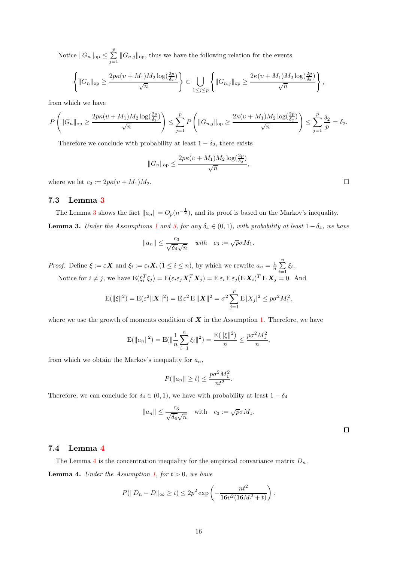Notice  $||G_n||_{op} \le \sum_{n=1}^p$  $\sum_{j=1}^{\infty} ||G_{n,j}||_{op}$ , thus we have the following relation for the events

$$
\left\{\|G_n\|_{\text{op}} \geq \frac{2p\kappa(v+M_1)M_2\log(\frac{2p}{\delta_2})}{\sqrt{n}}\right\} \subset \bigcup_{1 \leq j \leq p} \left\{\|G_{n,j}\|_{\text{op}} \geq \frac{2\kappa(v+M_1)M_2\log(\frac{2p}{\delta_2})}{\sqrt{n}}\right\},\
$$

from which we have

$$
P\left(\|G_n\|_{\text{op}} \ge \frac{2p\kappa(v+M_1)M_2\log(\frac{2p}{\delta_2})}{\sqrt{n}}\right) \le \sum_{j=1}^p P\left(\|G_{n,j}\|_{\text{op}} \ge \frac{2\kappa(v+M_1)M_2\log(\frac{2p}{\delta_2})}{\sqrt{n}}\right) \le \sum_{j=1}^p \frac{\delta_2}{p} = \delta_2.
$$

Therefore we conclude with probability at least  $1 - \delta_2$ , there exists

$$
||G_n||_{\text{op}} \le \frac{2p\kappa(v+M_1)M_2\log(\frac{2p}{\delta_2})}{\sqrt{n}}
$$

,

where we let  $c_2 := 2p\kappa(v + M_1)M_2$ .

## 7.3 Lemma [3](#page-15-0)

<span id="page-15-0"></span>The Lemma [3](#page-15-0) shows the fact  $||a_n|| = O_p(n^{-\frac{1}{2}})$ , and its proof is based on the Markov's inequality. **Lemma 3.** Under the Assumptions [1](#page-5-3) and [3,](#page-5-5) for any  $\delta_4 \in (0,1)$ , with probability at least  $1 - \delta_4$ , we have

$$
||a_n|| \le \frac{c_3}{\sqrt{\delta_4}\sqrt{n}} \quad \text{with} \quad c_3 := \sqrt{p}\sigma M_1.
$$

*Proof.* Define  $\xi := \varepsilon X$  and  $\xi_i := \varepsilon_i X_i$   $(1 \leq i \leq n)$ , by which we rewrite  $a_n = \frac{1}{n} \sum_{i=1}^n a_i$  $\sum_{i=1} \xi_i$ .

Notice for  $i \neq j$ , we have  $E(\xi_i^T \xi_j) = E(\varepsilon_i \varepsilon_j \mathbf{X}_i^T \mathbf{X}_j) = E \varepsilon_i E \varepsilon_j (E \mathbf{X}_i)^T E \mathbf{X}_j = 0$ . And

$$
E(||\xi||^2) = E(\varepsilon^2 ||\mathbf{X}||^2) = E \varepsilon^2 E ||\mathbf{X}||^2 = \sigma^2 \sum_{j=1}^p E |X_j|^2 \le p\sigma^2 M_1^2,
$$

where we use the growth of moments condition of  $X$  in the Assumption [1.](#page-5-3) Therefore, we have

$$
E(||a_n||^2) = E(||\frac{1}{n}\sum_{i=1}^n \xi_i||^2) = \frac{E(||\xi||^2)}{n} \le \frac{p\sigma^2 M_1^2}{n},
$$

from which we obtain the Markov's inequality for  $a_n$ ,

$$
P(\|a_n\| \ge t) \le \frac{p\sigma^2 M_1^2}{nt^2}.
$$

Therefore, we can conclude for  $\delta_4 \in (0,1)$ , we have with probability at least  $1 - \delta_4$ 

$$
||a_n|| \le \frac{c_3}{\sqrt{\delta_4}\sqrt{n}}
$$
 with  $c_3 := \sqrt{p}\sigma M_1$ .

 $\Box$ 

### 7.4 Lemma [4](#page-15-1)

<span id="page-15-1"></span>The Lemma [4](#page-15-1) is the concentration inequality for the empirical convariance matrix  $D_n$ . **Lemma 4.** Under the Assumption [1,](#page-5-3) for  $t > 0$ , we have

$$
P(\|D_n - D\|_{\infty} \ge t) \le 2p^2 \exp\left(-\frac{nt^2}{16v^2(16M_1^2 + t)}\right).
$$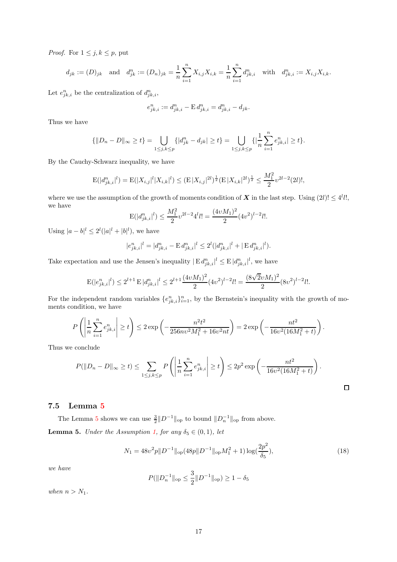*Proof.* For  $1 \leq j, k \leq p$ , put

$$
d_{jk} := (D)_{jk} \text{ and } d_{jk}^n := (D_n)_{jk} = \frac{1}{n} \sum_{i=1}^n X_{i,j} X_{i,k} = \frac{1}{n} \sum_{i=1}^n d_{jk,i}^n \text{ with } d_{jk,i}^n := X_{i,j} X_{i,k}.
$$

Let  $e_{jk,i}^n$  be the centralization of  $d_{jk,i}^n$ ,

$$
e_{jk,i}^n := d_{jk,i}^n - \mathbf{E} d_{jk,i}^n = d_{jk,i}^n - d_{jk}.
$$

Thus we have

$$
\{|D_n - D\|_{\infty} \ge t\} = \bigcup_{1 \le j,k \le p} \{|d_{jk}^n - d_{jk}| \ge t\} = \bigcup_{1 \le j,k \le p} \{|\frac{1}{n}\sum_{i=1}^n e_{jk,i}^n| \ge t\}.
$$

By the Cauchy-Schwarz inequality, we have

$$
\mathcal{E}(|d_{jk,i}^n|^l) = \mathcal{E}(|X_{i,j}|^l |X_{i,k}|^l) \le (\mathcal{E}|X_{i,j}|^{2l})^{\frac{1}{2}} (\mathcal{E}|X_{i,k}|^{2l})^{\frac{1}{2}} \le \frac{M_1^2}{2} \nu^{2l-2} (2l)!,
$$

where we use the assumption of the growth of moments condition of  $X$  in the last step. Using  $(2l)! \leq 4^l l!$ , we have

$$
\mathcal{E}(|d_{jk,i}^n|^l) \le \frac{M_1^2}{2} v^{2l-2} 4^l l! = \frac{(4vM_1)^2}{2} (4v^2)^{l-2} l!.
$$

Using  $|a-b|^l \leq 2^l(|a|^l + |b|^l)$ , we have

$$
|e_{jk,i}^n|^l = |d_{jk,i}^n - \mathbf{E} d_{jk,i}^n|^l \le 2^l (|d_{jk,i}^n|^l + |\mathbf{E} d_{jk,i}^n|^l).
$$

Take expectation and use the Jensen's inequality  $|\to d_{jk,i}^n|^l \leq E |d_{jk,i}^n|^l$ , we have

$$
\mathbf{E}(|e_{jk,i}^n|^l) \leq 2^{l+1} \mathbf{E} |d_{jk,i}^n|^l \leq 2^{l+1} \frac{(4 v M_1)^2}{2} (4 v^2)^{l-2} l! = \frac{(8 \sqrt{2} v M_1)^2}{2} (8 v^2)^{l-2} l!.
$$

For the independent random variables  $\{e_{jk,i}^n\}_{i=1}^n$ , by the Bernstein's inequality with the growth of moments condition, we have

$$
P\left(\left|\frac{1}{n}\sum_{i=1}^{n}e_{jk,i}^{n}\right| \geq t\right) \leq 2\exp\left(-\frac{n^{2}t^{2}}{256n\upsilon^{2}M_{1}^{2}+16\upsilon^{2}nt}\right) = 2\exp\left(-\frac{nt^{2}}{16\upsilon^{2}(16M_{1}^{2}+t)}\right).
$$

Thus we conclude

$$
P(\|D_n - D\|_{\infty} \ge t) \le \sum_{1 \le j,k \le p} P\left(\left|\frac{1}{n}\sum_{i=1}^n e_{jk,i}^n\right| \ge t\right) \le 2p^2 \exp\left(-\frac{nt^2}{16v^2(16M_1^2 + t)}\right).
$$

## 7.5 Lemma [5](#page-16-0)

<span id="page-16-0"></span>The Lemma [5](#page-16-0) shows we can use  $\frac{3}{2}||D^{-1}||_{op}$  to bound  $||D_n^{-1}||_{op}$  from above. **Lemma 5.** Under the Assumption [1,](#page-5-3) for any  $\delta_5 \in (0,1)$ , let

<span id="page-16-1"></span>
$$
N_1 = 48v^2p||D^{-1}||_{op}(48p||D^{-1}||_{op}M_1^2 + 1)\log(\frac{2p^2}{\delta_5}),\tag{18}
$$

 $\Box$ 

we have

$$
P(||D_n^{-1}||_{\text{op}} \le \frac{3}{2} ||D^{-1}||_{\text{op}}) \ge 1 - \delta_5
$$

when  $n > N_1$ .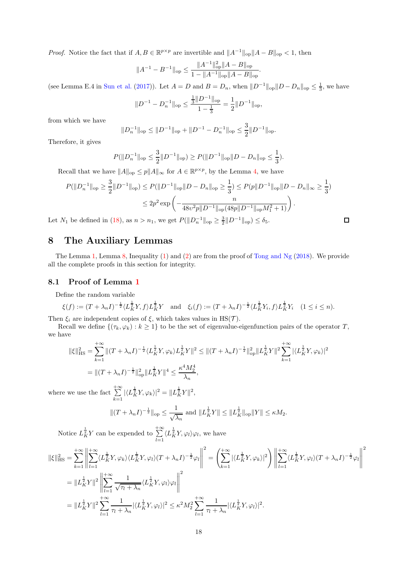*Proof.* Notice the fact that if  $A, B \in \mathbb{R}^{p \times p}$  are invertible and  $||A^{-1}||_{op}||A - B||_{op} < 1$ , then

$$
\|A^{-1}-B^{-1}\|_{\rm op}\leq \frac{\|A^{-1}\|_{\rm op}^2\|A-B\|_{\rm op}}{1-\|A^{-1}\|_{\rm op}\|A-B\|_{\rm op}}.
$$

(see Lemma E.4 in [Sun et al.](#page-23-12) [\(2017\)](#page-23-12)). Let  $A = D$  and  $B = D_n$ , when  $||D^{-1}||_{op}||D - D_n||_{op} \le \frac{1}{3}$ , we have

$$
||D^{-1} - D_n^{-1}||_{\text{op}} \le \frac{\frac{1}{3}||D^{-1}||_{\text{op}}}{1 - \frac{1}{3}} = \frac{1}{2}||D^{-1}||_{\text{op}},
$$

from which we have

$$
||D_n^{-1}||_{\text{op}} \le ||D^{-1}||_{\text{op}} + ||D^{-1} - D_n^{-1}||_{\text{op}} \le \frac{3}{2}||D^{-1}||_{\text{op}}.
$$

Therefore, it gives

$$
P(||D_n^{-1}||_{\text{op}} \le \frac{3}{2} ||D^{-1}||_{\text{op}}) \ge P(||D^{-1}||_{\text{op}} ||D - D_n||_{\text{op}} \le \frac{1}{3}).
$$

Recall that we have  $||A||_{op} \leq p||A||_{\infty}$  for  $A \in \mathbb{R}^{p \times p}$ , by the Lemma [4,](#page-15-1) we have

$$
P(\|D_n^{-1}\|_{\text{op}} \ge \frac{3}{2} \|D^{-1}\|_{\text{op}}) \le P(\|D^{-1}\|_{\text{op}} \|D - D_n\|_{\text{op}} \ge \frac{1}{3}) \le P(p\|D^{-1}\|_{\text{op}} \|D - D_n\|_{\infty} \ge \frac{1}{3})
$$
  

$$
\le 2p^2 \exp\left(-\frac{n}{48v^2p\|D^{-1}\|_{\text{op}}(48p\|D^{-1}\|_{\text{op}}M_1^2 + 1)}\right).
$$
  

$$
U_1 \text{ be defined in (18), as } n > n_1, \text{ we get } P(\|D_n^{-1}\|_{\text{op}} \ge \frac{3}{2} \|D^{-1}\|_{\text{op}}) \le \delta_5.
$$

Let  $N_1$  be defined in [\(18\)](#page-16-1), as  $n > n_1$ , we get  $P(||D_n^{-1}||_{op} \ge \frac{3}{2}||D^{-1}||_{op}) \le \delta_5$ .

# <span id="page-17-0"></span>8 The Auxiliary Lemmas

The Lemma [1,](#page-6-2) Lemma [8,](#page-19-0) Inequality [\(1\)](#page-19-1) and [\(2\)](#page-20-0) are from the proof of [Tong and Ng](#page-23-7) [\(2018\)](#page-23-7). We provide all the complete proofs in this section for integrity.

## 8.1 Proof of Lemma [1](#page-6-2)

Define the random variable

$$
\xi(f) := (T + \lambda_n I)^{-\frac{1}{2}} \langle L_K^{\frac{1}{2}} Y, f \rangle L_K^{\frac{1}{2}} Y \quad \text{and} \quad \xi_i(f) := (T + \lambda_n I)^{-\frac{1}{2}} \langle L_K^{\frac{1}{2}} Y_i, f \rangle L_K^{\frac{1}{2}} Y_i \quad (1 \le i \le n).
$$

Then  $\xi_i$  are independent copies of  $\xi$ , which takes values in HS(T).

Recall we define  $\{(\tau_k, \varphi_k) : k \geq 1\}$  to be the set of eigenvalue-eigenfunction pairs of the operator T, we have

$$
\begin{split} \|\xi\|_{\text{HS}}^2 &= \sum_{k=1}^{+\infty} \|(T + \lambda_n I)^{-\frac{1}{2}} \langle L_K^{\frac{1}{2}} Y, \varphi_k \rangle L_K^{\frac{1}{2}} Y\|^2 \le \| (T + \lambda_n I)^{-\frac{1}{2}} \|_{\text{op}}^2 \| L_K^{\frac{1}{2}} Y \|^2 \sum_{k=1}^{+\infty} |\langle L_K^{\frac{1}{2}} Y, \varphi_k \rangle|^2 \\ &= \|(T + \lambda_n I)^{-\frac{1}{2}} \|_{\text{op}}^2 \| L_K^{\frac{1}{2}} Y \|^4 \le \frac{\kappa^4 M_2^4}{\lambda_n}, \end{split}
$$

where we use the fact  $\sum_{n=1}^{\infty}$  $\sum_{k=1}^{+\infty} |\langle L_K^{\frac{1}{2}} Y, \varphi_k \rangle|^2 = ||L_K^{\frac{1}{2}} Y||^2,$ 

$$
||(T + \lambda_n I)^{-\frac{1}{2}}||_{\text{op}} \le \frac{1}{\sqrt{\lambda_n}}
$$
 and  $||L_K^{\frac{1}{2}}Y|| \le ||L_K^{\frac{1}{2}}||_{\text{op}}||Y|| \le \kappa M_2$ .

Notice  $L_K^{\frac{1}{2}} Y$  can be expended to  $\sum_{n=1}^{+\infty}$  $\sum_{l=1}^{+\infty} \langle L_K^{\frac{1}{2}} Y, \varphi_l \rangle \varphi_l$ , we have

$$
\begin{split}\n\|\xi\|_{\text{HS}}^2 &= \sum_{k=1}^{+\infty} \left\| \sum_{l=1}^{+\infty} \langle L_K^{\frac{1}{2}} Y, \varphi_k \rangle \langle L_K^{\frac{1}{2}} Y, \varphi_l \rangle (T + \lambda_n I)^{-\frac{1}{2}} \varphi_l \right\|^2 \\
&= \left\| L_K^{\frac{1}{2}} Y \right\|^2 \left\| \sum_{l=1}^{+\infty} \frac{1}{\sqrt{\tau_l + \lambda_n}} \langle L_K^{\frac{1}{2}} Y, \varphi_l \rangle \varphi_l \right\|^2 \\
&= \left\| L_K^{\frac{1}{2}} Y \right\|^2 \left\| \sum_{l=1}^{+\infty} \frac{1}{\sqrt{\tau_l + \lambda_n}} \langle L_K^{\frac{1}{2}} Y, \varphi_l \rangle \varphi_l \right\|^2 \\
&= \left\| L_K^{\frac{1}{2}} Y \right\|^2 \sum_{l=1}^{+\infty} \frac{1}{\tau_l + \lambda_n} |\langle L_K^{\frac{1}{2}} Y, \varphi_l \rangle|^2 \leq \kappa^2 M_2^2 \sum_{l=1}^{+\infty} \frac{1}{\tau_l + \lambda_n} |\langle L_K^{\frac{1}{2}} Y, \varphi_l \rangle|^2.\n\end{split}
$$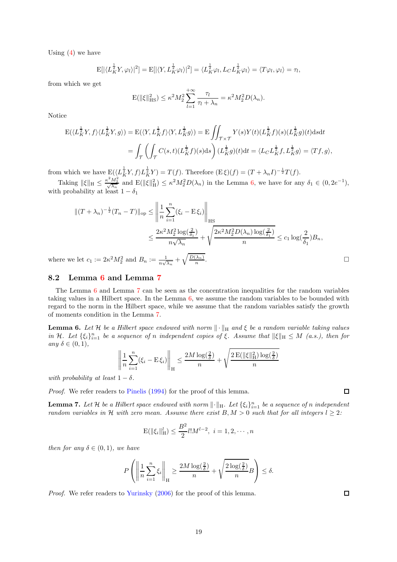Using  $(4)$  we have

$$
E[|\langle L_K^{\frac{1}{2}}Y,\varphi_l\rangle|^2] = E[|\langle Y,L_K^{\frac{1}{2}}\varphi_l\rangle|^2] = \langle L_K^{\frac{1}{2}}\varphi_l,L_C L_K^{\frac{1}{2}}\varphi_l\rangle = \langle T\varphi_l,\varphi_l\rangle = \tau_l,
$$

from which we get

$$
\mathcal{E}(\|\xi\|_{\text{HS}}^2) \le \kappa^2 M_2^2 \sum_{l=1}^{+\infty} \frac{\tau_l}{\tau_l + \lambda_n} = \kappa^2 M_2^2 D(\lambda_n).
$$

Notice

$$
\begin{split} \mathcal{E}(\langle L_{K}^{\frac{1}{2}}Y,f\rangle\langle L_{K}^{\frac{1}{2}}Y,g\rangle) &=\mathcal{E}(\langle Y,L_{K}^{\frac{1}{2}}f\rangle\langle Y,L_{K}^{\frac{1}{2}}g\rangle)=\mathcal{E}\iint_{\mathcal{T}\times\mathcal{T}}Y(s)Y(t)(L_{K}^{\frac{1}{2}}f)(s)(L_{K}^{\frac{1}{2}}g)(t)\mathrm{d}s\mathrm{d}t\\ &=\int_{\mathcal{T}}\left(\int_{\mathcal{T}}C(s,t)(L_{K}^{\frac{1}{2}}f)(s)\mathrm{d}s\right)(L_{K}^{\frac{1}{2}}g)(t)\mathrm{d}t=\langle L_{C}L_{K}^{\frac{1}{2}}f,L_{K}^{\frac{1}{2}}g\rangle=\langle Tf,g\rangle, \end{split}
$$

from which we have  $E(\langle L_K^{\frac{1}{2}} Y, f \rangle L_K^{\frac{1}{2}} Y) = T(f)$ . Therefore  $(E \xi)(f) = (T + \lambda_n I)^{-\frac{1}{2}} T(f)$ .

Taking  $\|\xi\|_{\mathcal{H}} \leq \frac{\kappa^2 M_2^2}{\sqrt{\lambda_n}}$  and  $\mathcal{E}(\|\xi\|_{\mathcal{H}}^2) \leq \kappa^2 M_2^2 D(\lambda_n)$  in the Lemma [6,](#page-18-1) we have for any  $\delta_1 \in (0, 2e^{-1}),$ with probability at least  $1 - \delta_1$ 

$$
||(T + \lambda_n)^{-\frac{1}{2}}(T_n - T)||_{\text{op}} \le \left\| \frac{1}{n} \sum_{i=1}^n (\xi_i - \mathcal{E}\xi_i) \right\|_{\text{HS}}
$$
  

$$
\le \frac{2\kappa^2 M_2^2 \log(\frac{2}{\delta_1})}{n\sqrt{\lambda_n}} + \sqrt{\frac{2\kappa^2 M_2^2 D(\lambda_n) \log(\frac{2}{\delta_1})}{n}} \le c_1 \log(\frac{2}{\delta_1}) B_n,
$$
  
the let  $c_1 := 2\kappa^2 M_2^2$  and  $B_n := \frac{1}{n\sqrt{\lambda_n}} + \sqrt{\frac{D(\lambda_n)}{n}}.$ 

where we let  $c_1 := 2\kappa^2 M_2^2$  and  $B_n := \frac{1}{n\sqrt{\lambda_n}} + \sqrt{\frac{D(\lambda_n)}{n}}$ 

### 8.2 Lemma [6](#page-18-1) and Lemma [7](#page-18-0)

The Lemma [6](#page-18-1) and Lemma [7](#page-18-0) can be seen as the concentration inequalities for the random variables taking values in a Hilbert space. In the Lemma [6,](#page-18-1) we assume the random variables to be bounded with regard to the norm in the Hilbert space, while we assume that the random variables satisfy the growth of moments condition in the Lemma [7.](#page-18-0)

<span id="page-18-1"></span>**Lemma 6.** Let H be a Hilbert space endowed with norm  $\|\cdot\|_H$  and  $\xi$  be a random variable taking values in H. Let  $\{\xi_i\}_{i=1}^n$  be a sequence of n independent copies of  $\xi$ . Assume that  $\|\xi\|_H \leq M$  (a.s.), then for any  $\delta \in (0,1)$ ,

$$
\left\| \frac{1}{n} \sum_{i=1}^n (\xi_i - \mathbf{E} \xi_i) \right\|_{\mathcal{H}} \le \frac{2M \log(\frac{2}{\delta})}{n} + \sqrt{\frac{2 \mathbf{E}(\|\xi\|_{\mathcal{H}}^2) \log(\frac{2}{\delta})}{n}}
$$

with probability at least  $1 - \delta$ .

Proof. We refer readers to [Pinelis](#page-22-21) [\(1994](#page-22-21)) for the proof of this lemma.

<span id="page-18-0"></span>**Lemma 7.** Let H be a Hilbert space endowed with norm  $\|\cdot\|_{\mathrm{H}}$ . Let  $\{\xi_i\}_{i=1}^n$  be a sequence of n independent random variables in H with zero mean. Assume there exist  $B, M > 0$  such that for all integers  $l \geq 2$ :

$$
\mathrm{E}(\|\xi_i\|_{\mathrm{H}}^l) \le \frac{B^2}{2} l! M^{l-2}, \ i = 1, 2, \cdots, n
$$

then for any  $\delta \in (0,1)$ , we have

$$
P\left(\left\|\frac{1}{n}\sum_{i=1}^n\xi_i\right\|_{\mathcal{H}}\ge\frac{2M\log(\frac{2}{\delta})}{n}+\sqrt{\frac{2\log(\frac{2}{\delta})}{n}}B\right)\le\delta.
$$

Proof. We refer readers to [Yurinsky](#page-23-13) [\(2006\)](#page-23-13) for the proof of this lemma.

 $\Box$ 

 $\Box$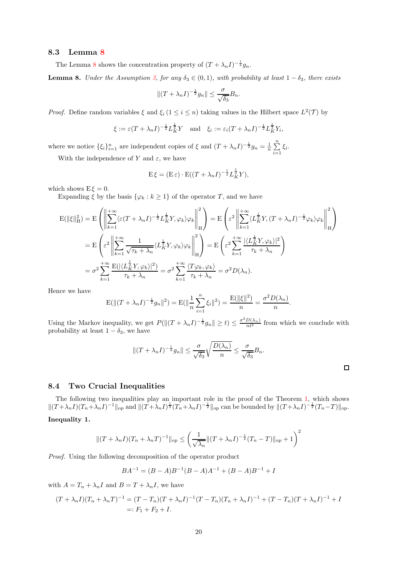#### 8.3 Lemma [8](#page-19-0)

The Lemma [8](#page-19-0) shows the concentration property of  $(T + \lambda_n I)^{-\frac{1}{2}} g_n$ .

<span id="page-19-0"></span>**Lemma 8.** Under the Assumption [3,](#page-5-5) for any  $\delta_3 \in (0,1)$ , with probability at least  $1 - \delta_3$ , there exists

$$
||(T + \lambda_n I)^{-\frac{1}{2}}g_n|| \leq \frac{\sigma}{\sqrt{\delta_3}}B_n.
$$

*Proof.* Define random variables  $\xi$  and  $\xi_i$  ( $1 \leq i \leq n$ ) taking values in the Hilbert space  $L^2(\mathcal{T})$  by

$$
\xi := \varepsilon (T + \lambda_n I)^{-\frac{1}{2}} L_K^{\frac{1}{2}} Y
$$
 and  $\xi_i := \varepsilon_i (T + \lambda_n I)^{-\frac{1}{2}} L_K^{\frac{1}{2}} Y_i$ ,

where we notice  $\{\xi_i\}_{i=1}^n$  are independent copies of  $\xi$  and  $(T + \lambda_n I)^{-\frac{1}{2}}g_n = \frac{1}{n}\sum_{i=1}^n$  $\sum_{i=1} \xi_i$ .

With the independence of Y and  $\varepsilon$ , we have

$$
\mathcal{E}\xi = (\mathcal{E}\varepsilon) \cdot \mathcal{E}((T + \lambda_n I)^{-\frac{1}{2}} L_K^{\frac{1}{2}} Y),
$$

which shows  $E \xi = 0$ .

Expanding  $\xi$  by the basis  $\{\varphi_k : k \geq 1\}$  of the operator T, and we have

$$
E(||\xi||_H^2) = E\left(\left\|\sum_{k=1}^{+\infty} \langle \varepsilon(T+\lambda_n I)^{-\frac{1}{2}} L_K^{\frac{1}{2}} Y, \varphi_k \rangle \varphi_k \right\|_H^2\right) = E\left(\varepsilon^2 \left\|\sum_{k=1}^{+\infty} \langle L_K^{\frac{1}{2}} Y, (T+\lambda_n I)^{-\frac{1}{2}} \varphi_k \rangle \varphi_k \right\|_H^2\right)
$$
  
\n
$$
= E\left(\varepsilon^2 \left\|\sum_{k=1}^{+\infty} \frac{1}{\sqrt{\tau_k + \lambda_n}} \langle L_K^{\frac{1}{2}} Y, \varphi_k \rangle \varphi_k \right\|_H^2\right) = E\left(\varepsilon^2 \sum_{k=1}^{+\infty} \frac{|\langle L_K^{\frac{1}{2}} Y, \varphi_k \rangle|^2}{\tau_k + \lambda_n}\right)
$$
  
\n
$$
= \sigma^2 \sum_{k=1}^{+\infty} \frac{E(|\langle L_K^{\frac{1}{2}} Y, \varphi_k \rangle|^2)}{\tau_k + \lambda_n} = \sigma^2 \sum_{k=1}^{+\infty} \frac{\langle T \varphi_k, \varphi_k \rangle}{\tau_k + \lambda_n} = \sigma^2 D(\lambda_n).
$$

Hence we have

$$
E(||(T + \lambda_n I)^{-\frac{1}{2}} g_n||^2) = E(||\frac{1}{n} \sum_{i=1}^n \xi_i||^2) = \frac{E(||\xi||^2)}{n} = \frac{\sigma^2 D(\lambda_n)}{n}.
$$

Using the Markov inequality, we get  $P(||(T + \lambda_n I)^{-\frac{1}{2}}g_n|| \ge t) \le \frac{\sigma^2 D(\lambda_n)}{nt^2}$  from which we conclude with probability at least  $1 - \delta_3$ , we have

$$
||(T + \lambda_n I)^{-\frac{1}{2}} g_n|| \leq \frac{\sigma}{\sqrt{\delta_3}} \sqrt{\frac{D(\lambda_n)}{n}} \leq \frac{\sigma}{\sqrt{\delta_3}} B_n.
$$

## 8.4 Two Crucial Inequalities

<span id="page-19-1"></span>The following two inequalities play an important role in the proof of the Theorem [1,](#page-6-0) which shows  $||(T+\lambda_nI)(T_n+\lambda_nI)^{-1}||_{\text{op}}$  and  $||(T+\lambda_nI)^{\frac{1}{2}}(T_n+\lambda_nI)^{-\frac{1}{2}}||_{\text{op}}$  can be bounded by  $||(T+\lambda_nI)^{-\frac{1}{2}}(T_n-T)||_{\text{op}}$ . Inequality 1.

$$
||(T + \lambda_n I)(T_n + \lambda_n T)^{-1}||_{\text{op}} \le \left(\frac{1}{\sqrt{\lambda_n}}||(T + \lambda_n I)^{-\frac{1}{2}}(T_n - T)||_{\text{op}} + 1\right)^2
$$

Proof. Using the following decomposition of the operator product

$$
BA^{-1} = (B - A)B^{-1}(B - A)A^{-1} + (B - A)B^{-1} + I
$$

with  $A = T_n + \lambda_n I$  and  $B = T + \lambda_n I$ , we have

$$
(T + \lambda_n I)(T_n + \lambda_n T)^{-1} = (T - T_n)(T + \lambda_n I)^{-1}(T - T_n)(T_n + \lambda_n I)^{-1} + (T - T_n)(T + \lambda_n I)^{-1} + I
$$
  
=:  $F_1 + F_2 + I$ .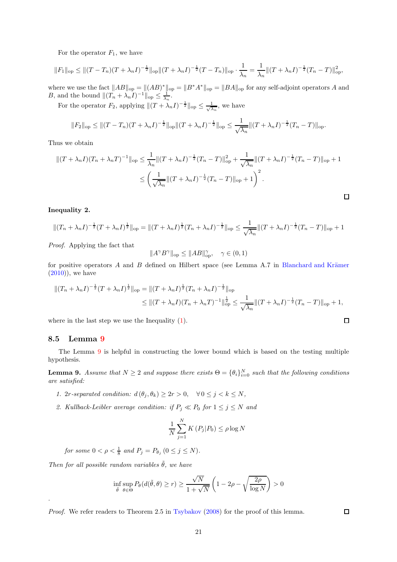For the operator  $F_1$ , we have

$$
||F_1||_{\text{op}} \le ||(T - T_n)(T + \lambda_n I)^{-\frac{1}{2}}||_{\text{op}} ||(T + \lambda_n I)^{-\frac{1}{2}}(T - T_n)||_{\text{op}} \cdot \frac{1}{\lambda_n} = \frac{1}{\lambda_n} ||(T + \lambda_n I)^{-\frac{1}{2}}(T_n - T)||_{\text{op}}^2,
$$

where we use the fact  $||AB||_{op} = ||(AB)^*||_{op} = ||B^*A^*||_{op} = ||BA||_{op}$  for any self-adjoint operators A and B, and the bound  $||(T_n + \lambda_n I)^{-1}||_{op} \le \frac{1}{\lambda_n}$ .

For the operator  $F_2$ , applying  $\|(T + \lambda_n I)^{-\frac{1}{2}}\|_{\text{op}} \leq \frac{1}{\sqrt{2}}$  $\frac{1}{\lambda_n}$ , we have

$$
||F_2||_{\text{op}} \le ||(T - T_n)(T + \lambda_n I)^{-\frac{1}{2}}||_{\text{op}} ||(T + \lambda_n I)^{-\frac{1}{2}}||_{\text{op}} \le \frac{1}{\sqrt{\lambda_n}} ||(T + \lambda_n I)^{-\frac{1}{2}}(T_n - T)||_{\text{op}}.
$$

Thus we obtain

$$
\begin{split} \|(T+\lambda_n I)(T_n+\lambda_n T)^{-1}\|_{\text{op}} &\leq \frac{1}{\lambda_n} \|(T+\lambda_n I)^{-\frac{1}{2}} (T_n-T)\|_{\text{op}}^2 + \frac{1}{\sqrt{\lambda_n}} \|(T+\lambda_n I)^{-\frac{1}{2}} (T_n-T)\|_{\text{op}} + 1 \\ &\leq \left(\frac{1}{\sqrt{\lambda_n}} \|(T+\lambda_n I)^{-\frac{1}{2}} (T_n-T)\|_{\text{op}} + 1\right)^2. \end{split}
$$

#### <span id="page-20-0"></span>Inequality 2.

$$
||(T_n + \lambda_n I)^{-\frac{1}{2}}(T + \lambda_n I)^{\frac{1}{2}}||_{\text{op}} = ||(T + \lambda_n I)^{\frac{1}{2}}(T_n + \lambda_n I)^{-\frac{1}{2}}||_{\text{op}} \le \frac{1}{\sqrt{\lambda_n}}||(T + \lambda_n I)^{-\frac{1}{2}}(T_n - T)||_{\text{op}} + 1
$$

Proof. Applying the fact that

$$
||A^{\gamma}B^{\gamma}||_{\text{op}} \le ||AB||_{\text{op}}^{\gamma}, \quad \gamma \in (0,1)
$$

for positive operators  $A$  and  $B$  defined on Hilbert space (see Lemma A.7 in Blanchard and Krämer  $(2010)$ , we have

$$
\begin{aligned} \|(T_n + \lambda_n I)^{-\frac{1}{2}} (T + \lambda_n I)^{\frac{1}{2}} \|_{\text{op}} &= \|(T + \lambda_n I)^{\frac{1}{2}} (T_n + \lambda_n I)^{-\frac{1}{2}} \|_{\text{op}} \\ &\leq \|(T + \lambda_n I)(T_n + \lambda_n T)^{-1} \|_{\text{op}}^{\frac{1}{2}} \leq \frac{1}{\sqrt{\lambda_n}} \|(T + \lambda_n I)^{-\frac{1}{2}} (T_n - T) \|_{\text{op}} + 1, \end{aligned}
$$

where in the last step we use the Inequality [\(1\)](#page-19-1).

#### 8.5 Lemma [9](#page-20-1)

.

The Lemma [9](#page-20-1) is helpful in constructing the lower bound which is based on the testing multiple hypothesis.

<span id="page-20-1"></span>**Lemma 9.** Assume that  $N \ge 2$  and suppose there exists  $\Theta = \{\theta_i\}_{i=0}^N$  such that the following conditions are satisfied:

- 1. 2r-separated condition:  $d(\theta_j, \theta_k) \geq 2r > 0$ ,  $\forall 0 \leq j < k \leq N$ ,
- 2. Kullback-Leibler average condition: if  $P_j \ll P_0$  for  $1 \le j \le N$  and

$$
\frac{1}{N} \sum_{j=1}^{N} K\left(P_j | P_0\right) \le \rho \log N
$$

for some  $0 < \rho < \frac{1}{8}$  and  $P_j = P_{\theta_j}$   $(0 \le j \le N)$ .

Then for all possible random variables  $\hat{\theta}$ , we have

$$
\inf_{\tilde{\theta}} \sup_{\theta \in \Theta} P_{\theta}(d(\tilde{\theta}, \theta) \ge r) \ge \frac{\sqrt{N}}{1 + \sqrt{N}} \left(1 - 2\rho - \sqrt{\frac{2\rho}{\log N}}\right) > 0
$$

Proof. We refer readers to Theorem 2.5 in [Tsybakov](#page-23-14) [\(2008\)](#page-23-14) for the proof of this lemma.

 $\Box$ 

 $\Box$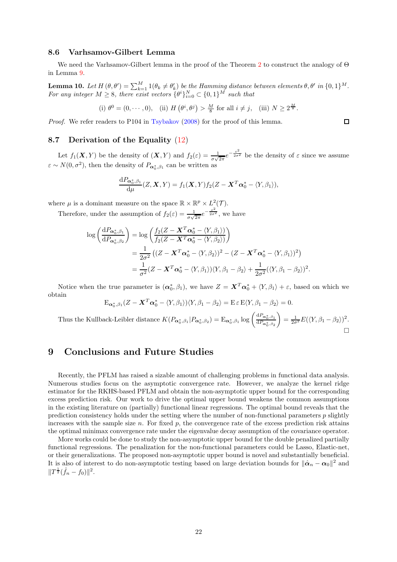#### 8.6 Varhsamov-Gilbert Lemma

We need the Varhsamov-Gilbert lemma in the proof of the Theorem [2](#page-9-1) to construct the analogy of Θ in Lemma [9.](#page-20-1)

<span id="page-21-2"></span>**Lemma 10.** Let  $H(\theta, \theta') = \sum_{k=1}^{M} 1(\theta_k \neq \theta'_k)$  be the Hamming distance between elements  $\theta, \theta'$  in  $\{0,1\}^M$ . For any integer  $M \geq 8$ , there exist vectors  $\{\theta^i\}_{i=0}^N \subset \{0,1\}^M$  such that

(i) 
$$
\theta^0 = (0, \dots, 0)
$$
, (ii)  $H(\theta^i, \theta^j) > \frac{M}{8}$  for all  $i \neq j$ , (iii)  $N \geq 2^{\frac{M}{8}}$ .

Proof. We refer readers to P104 in [Tsybakov](#page-23-14) [\(2008\)](#page-23-14) for the proof of this lemma.

#### <span id="page-21-1"></span>8.7 Derivation of the Equality [\(12\)](#page-9-4)

Let  $f_1(X,Y)$  be the density of  $(X,Y)$  and  $f_2(\varepsilon) = \frac{1}{\sigma\sqrt{2\pi}}e^{-\frac{\varepsilon^2}{2\sigma^2}}$  be the density of  $\varepsilon$  since we assume  $\varepsilon \sim N(0, \sigma^2)$ , then the density of  $P_{\alpha_0^*, \beta_1}$  can be written as

$$
\frac{\mathrm{d}P_{\boldsymbol{\alpha}_0^*,\beta_1}}{\mathrm{d}\mu}(Z,\boldsymbol{X},Y)=f_1(\boldsymbol{X},Y)f_2(Z-\boldsymbol{X}^T\boldsymbol{\alpha}_0^*-\langle Y,\beta_1\rangle),
$$

where  $\mu$  is a dominant measure on the space  $\mathbb{R} \times \mathbb{R}^p \times L^2(\mathcal{T})$ .

Therefore, under the assumption of  $f_2(\varepsilon) = \frac{1}{\sigma\sqrt{2\pi}}e^{-\frac{\varepsilon^2}{2\sigma^2}}$ , we have

$$
\log\left(\frac{dP_{\alpha_0^*,\beta_1}}{dP_{\alpha_0^*,\beta_2}}\right) = \log\left(\frac{f_2(Z - \mathbf{X}^T\alpha_0^* - \langle Y,\beta_1\rangle)}{f_2(Z - \mathbf{X}^T\alpha_0^* - \langle Y,\beta_2\rangle)}\right)
$$
  
= 
$$
\frac{1}{2\sigma^2}\left((Z - \mathbf{X}^T\alpha_0^* - \langle Y,\beta_2\rangle)^2 - (Z - \mathbf{X}^T\alpha_0^* - \langle Y,\beta_1\rangle)^2\right)
$$
  
= 
$$
\frac{1}{\sigma^2}(Z - \mathbf{X}^T\alpha_0^* - \langle Y,\beta_1\rangle)\langle Y,\beta_1 - \beta_2\rangle + \frac{1}{2\sigma^2}(\langle Y,\beta_1 - \beta_2\rangle)^2
$$

Notice when the true parameter is  $(\boldsymbol{\alpha}_0^*, \beta_1)$ , we have  $Z = \boldsymbol{X}^T \boldsymbol{\alpha}_0^* + \langle Y, \beta_1 \rangle + \varepsilon$ , based on which we obtain

$$
E_{\alpha_0^*,\beta_1}(Z - \mathbf{X}^T\alpha_0^* - \langle Y,\beta_1\rangle)\langle Y,\beta_1 - \beta_2\rangle = E \,\varepsilon E \langle Y,\beta_1 - \beta_2\rangle = 0.
$$

Thus the Kullback-Leibler distance  $K(P_{\alpha_0^*,\beta_1}|P_{\alpha_0^*,\beta_2}) = \mathcal{E}_{\alpha_0^*,\beta_1} \log \left( \frac{\mathrm{d}P_{\alpha_0^*,\beta_1}}{\mathrm{d}P_{\alpha_0^*,\beta_2}} \right)$  $= \frac{1}{2\sigma^2} E(\langle Y, \beta_1 - \beta_2 \rangle)^2.$  $\Box$ 

# <span id="page-21-0"></span>9 Conclusions and Future Studies

Recently, the PFLM has raised a sizable amount of challenging problems in functional data analysis. Numerous studies focus on the asymptotic convergence rate. However, we analyze the kernel ridge estimator for the RKHS-based PFLM and obtain the non-asymptotic upper bound for the corresponding excess prediction risk. Our work to drive the optimal upper bound weakens the common assumptions in the existing literature on (partially) functional linear regressions. The optimal bound reveals that the prediction consistency holds under the setting where the number of non-functional parameters  $p$  slightly increases with the sample size n. For fixed  $p$ , the convergence rate of the excess prediction risk attains the optimal minimax convergence rate under the eigenvalue decay assumption of the covariance operator.

More works could be done to study the non-asymptotic upper bound for the double penalized partially functional regressions. The penalization for the non-functional parameters could be Lasso, Elastic-net, or their generalizations. The proposed non-asymptotic upper bound is novel and substantially beneficial. It is also of interest to do non-asymptotic testing based on large deviation bounds for  $\|\hat{\boldsymbol{\alpha}}_n - \boldsymbol{\alpha}_0\|^2$  and  $||T^{\frac{1}{2}}(\hat{f}_n - f_0)||^2.$ 

 $\Box$ 

.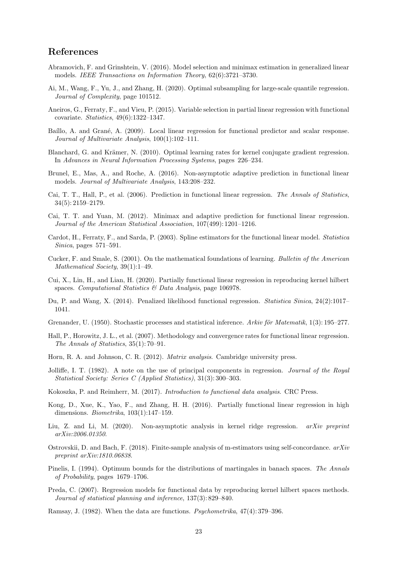# References

- <span id="page-22-19"></span>Abramovich, F. and Grinshtein, V. (2016). Model selection and minimax estimation in generalized linear models. IEEE Transactions on Information Theory, 62(6):3721–3730.
- <span id="page-22-18"></span>Ai, M., Wang, F., Yu, J., and Zhang, H. (2020). Optimal subsampling for large-scale quantile regression. Journal of Complexity, page 101512.
- <span id="page-22-12"></span>Aneiros, G., Ferraty, F., and Vieu, P. (2015). Variable selection in partial linear regression with functional covariate. Statistics, 49(6):1322–1347.
- <span id="page-22-6"></span>Baíllo, A. and Grané, A. (2009). Local linear regression for functional predictor and scalar response. Journal of Multivariate Analysis, 100(1):102–111.
- <span id="page-22-22"></span>Blanchard, G. and Krämer, N. (2010). Optimal learning rates for kernel conjugate gradient regression. In Advances in Neural Information Processing Systems, pages 226–234.
- <span id="page-22-14"></span>Brunel, E., Mas, A., and Roche, A. (2016). Non-asymptotic adaptive prediction in functional linear models. Journal of Multivariate Analysis, 143:208–232.
- <span id="page-22-2"></span>Cai, T. T., Hall, P., et al. (2006). Prediction in functional linear regression. The Annals of Statistics, 34(5): 2159–2179.
- <span id="page-22-10"></span>Cai, T. T. and Yuan, M. (2012). Minimax and adaptive prediction for functional linear regression. Journal of the American Statistical Association, 107(499): 1201–1216.
- <span id="page-22-5"></span>Cardot, H., Ferraty, F., and Sarda, P. (2003). Spline estimators for the functional linear model. Statistica Sinica, pages 571–591.
- <span id="page-22-16"></span>Cucker, F. and Smale, S. (2001). On the mathematical foundations of learning. Bulletin of the American Mathematical Society, 39(1):1–49.
- <span id="page-22-11"></span>Cui, X., Lin, H., and Lian, H. (2020). Partially functional linear regression in reproducing kernel hilbert spaces. Computational Statistics & Data Analysis, page 106978.
- <span id="page-22-4"></span>Du, P. and Wang, X. (2014). Penalized likelihood functional regression. Statistica Sinica, 24(2):1017– 1041.
- <span id="page-22-1"></span>Grenander, U. (1950). Stochastic processes and statistical inference. Arkiv för Matematik, 1(3): 195–277.
- <span id="page-22-8"></span>Hall, P., Horowitz, J. L., et al. (2007). Methodology and convergence rates for functional linear regression. The Annals of Statistics, 35(1): 70–91.
- <span id="page-22-17"></span>Horn, R. A. and Johnson, C. R. (2012). Matrix analysis. Cambridge university press.
- <span id="page-22-9"></span>Jolliffe, I. T. (1982). A note on the use of principal components in regression. Journal of the Royal Statistical Society: Series C (Applied Statistics), 31(3): 300–303.
- <span id="page-22-7"></span>Kokoszka, P. and Reimherr, M. (2017). Introduction to functional data analysis. CRC Press.
- <span id="page-22-13"></span>Kong, D., Xue, K., Yao, F., and Zhang, H. H. (2016). Partially functional linear regression in high dimensions. Biometrika, 103(1):147–159.
- <span id="page-22-15"></span>Liu, Z. and Li, M. (2020). Non-asymptotic analysis in kernel ridge regression. arXiv preprint arXiv:2006.01350.
- <span id="page-22-20"></span>Ostrovskii, D. and Bach, F. (2018). Finite-sample analysis of m-estimators using self-concordance.  $arXiv$ preprint arXiv:1810.06838.
- <span id="page-22-21"></span>Pinelis, I. (1994). Optimum bounds for the distributions of martingales in banach spaces. The Annals of Probability, pages 1679–1706.
- <span id="page-22-3"></span>Preda, C. (2007). Regression models for functional data by reproducing kernel hilbert spaces methods. Journal of statistical planning and inference, 137(3): 829–840.
- <span id="page-22-0"></span>Ramsay, J. (1982). When the data are functions. Psychometrika, 47(4): 379–396.